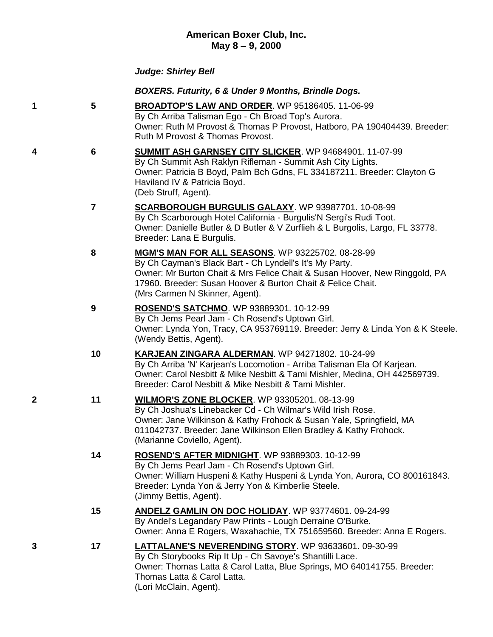## **American Boxer Club, Inc. May 8 – 9, 2000**

## *Judge: Shirley Bell*

## *BOXERS. Futurity, 6 & Under 9 Months, Brindle Dogs.*

- **1 5 [BROADTOP'S LAW AND ORDER](http://www.infodog.com/my/drlookup2.htm?makc=WP%2095186405&mdog=Broadtop%27s+Law+And+Order&wins=all)**. WP 95186405. 11-06-99 By Ch Arriba Talisman Ego - Ch Broad Top's Aurora. Owner: Ruth M Provost & Thomas P Provost, Hatboro, PA 190404439. Breeder: Ruth M Provost & Thomas Provost.
- **4 6 [SUMMIT ASH GARNSEY CITY SLICKER](http://www.infodog.com/my/drlookup2.htm?makc=WP%2094684901&mdog=Summit+Ash+Garnsey+City+Slicker&wins=all)**. WP 94684901. 11-07-99 By Ch Summit Ash Raklyn Rifleman - Summit Ash City Lights. Owner: Patricia B Boyd, Palm Bch Gdns, FL 334187211. Breeder: Clayton G Haviland IV & Patricia Boyd. (Deb Struff, Agent).
	- **7 [SCARBOROUGH BURGULIS GALAXY](http://www.infodog.com/my/drlookup2.htm?makc=WP%2093987701&mdog=Scarborough+Burgulis+Galaxy&wins=all)**. WP 93987701. 10-08-99 By Ch Scarborough Hotel California - Burgulis'N Sergi's Rudi Toot. Owner: Danielle Butler & D Butler & V Zurflieh & L Burgolis, Largo, FL 33778. Breeder: Lana E Burgulis.
	- **8 [MGM'S MAN FOR ALL SEASONS](http://www.infodog.com/my/drlookup2.htm?makc=WP%2093225702&mdog=MGM%27s+Man+For+All+Seasons&wins=all)**. WP 93225702. 08-28-99 By Ch Cayman's Black Bart - Ch Lyndell's It's My Party. Owner: Mr Burton Chait & Mrs Felice Chait & Susan Hoover, New Ringgold, PA 17960. Breeder: Susan Hoover & Burton Chait & Felice Chait. (Mrs Carmen N Skinner, Agent).
	- **9 [ROSEND'S SATCHMO](http://www.infodog.com/my/drlookup2.htm?makc=WP%2093889301&mdog=Rosend%27s+Satchmo&wins=all)**. WP 93889301. 10-12-99 By Ch Jems Pearl Jam - Ch Rosend's Uptown Girl. Owner: Lynda Yon, Tracy, CA 953769119. Breeder: Jerry & Linda Yon & K Steele. (Wendy Bettis, Agent).
	- **10 [KARJEAN ZINGARA ALDERMAN](http://www.infodog.com/my/drlookup2.htm?makc=WP%2094271802&mdog=Karjean+Zingara+Alderman&wins=all)**. WP 94271802. 10-24-99 By Ch Arriba 'N' Karjean's Locomotion - Arriba Talisman Ela Of Karjean. Owner: Carol Nesbitt & Mike Nesbitt & Tami Mishler, Medina, OH 442569739. Breeder: Carol Nesbitt & Mike Nesbitt & Tami Mishler.
- **2 11 [WILMOR'S ZONE BLOCKER](http://www.infodog.com/my/drlookup2.htm?makc=WP%2093305201&mdog=Wilmor%27s+Zone+Blocker&wins=all)**. WP 93305201. 08-13-99 By Ch Joshua's Linebacker Cd - Ch Wilmar's Wild Irish Rose. Owner: Jane Wilkinson & Kathy Frohock & Susan Yale, Springfield, MA 011042737. Breeder: Jane Wilkinson Ellen Bradley & Kathy Frohock. (Marianne Coviello, Agent).
	- **14 [ROSEND'S AFTER MIDNIGHT](http://www.infodog.com/my/drlookup2.htm?makc=WP%2093889303&mdog=Rosend%27s+After+Midnight&wins=all)**. WP 93889303. 10-12-99 By Ch Jems Pearl Jam - Ch Rosend's Uptown Girl. Owner: William Huspeni & Kathy Huspeni & Lynda Yon, Aurora, CO 800161843. Breeder: Lynda Yon & Jerry Yon & Kimberlie Steele. (Jimmy Bettis, Agent).
	- **15 [ANDELZ GAMLIN ON DOC HOLIDAY](http://www.infodog.com/my/drlookup2.htm?makc=WP%2093774601&mdog=Andelz+Gamlin+On+Doc+Holiday&wins=all)**. WP 93774601. 09-24-99 By Andel's Legandary Paw Prints - Lough Derraine O'Burke. Owner: Anna E Rogers, Waxahachie, TX 751659560. Breeder: Anna E Rogers.
- **3 17 [LATTALANE'S NEVERENDING STORY](http://www.infodog.com/my/drlookup2.htm?makc=WP%2093633601&mdog=Lattalane%27s+Neverending+Story&wins=all)**. WP 93633601. 09-30-99 By Ch Storybooks Rip It Up - Ch Savoye's Shantilli Lace. Owner: Thomas Latta & Carol Latta, Blue Springs, MO 640141755. Breeder: Thomas Latta & Carol Latta. (Lori McClain, Agent).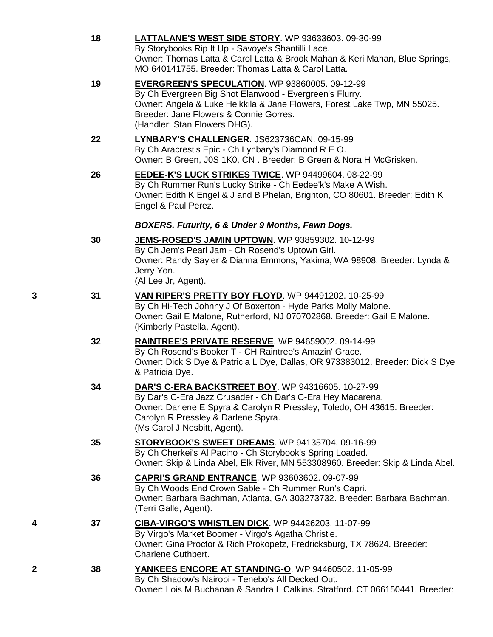|   | 18 | <b>LATTALANE'S WEST SIDE STORY.</b> WP 93633603. 09-30-99<br>By Storybooks Rip It Up - Savoye's Shantilli Lace.<br>Owner: Thomas Latta & Carol Latta & Brook Mahan & Keri Mahan, Blue Springs,<br>MO 640141755. Breeder: Thomas Latta & Carol Latta.                   |
|---|----|------------------------------------------------------------------------------------------------------------------------------------------------------------------------------------------------------------------------------------------------------------------------|
|   | 19 | <b>EVERGREEN'S SPECULATION.</b> WP 93860005. 09-12-99<br>By Ch Evergreen Big Shot Elanwood - Evergreen's Flurry.<br>Owner: Angela & Luke Heikkila & Jane Flowers, Forest Lake Twp, MN 55025.<br>Breeder: Jane Flowers & Connie Gorres.<br>(Handler: Stan Flowers DHG). |
|   | 22 | LYNBARY'S CHALLENGER. JS623736CAN. 09-15-99<br>By Ch Aracrest's Epic - Ch Lynbary's Diamond R E O.<br>Owner: B Green, J0S 1K0, CN. Breeder: B Green & Nora H McGrisken.                                                                                                |
|   | 26 | EEDEE-K'S LUCK STRIKES TWICE. WP 94499604. 08-22-99<br>By Ch Rummer Run's Lucky Strike - Ch Eedee'k's Make A Wish.<br>Owner: Edith K Engel & J and B Phelan, Brighton, CO 80601. Breeder: Edith K<br>Engel & Paul Perez.                                               |
|   |    | <b>BOXERS. Futurity, 6 &amp; Under 9 Months, Fawn Dogs.</b>                                                                                                                                                                                                            |
|   | 30 | <b>JEMS-ROSED'S JAMIN UPTOWN. WP 93859302. 10-12-99</b><br>By Ch Jem's Pearl Jam - Ch Rosend's Uptown Girl.<br>Owner: Randy Sayler & Dianna Emmons, Yakima, WA 98908. Breeder: Lynda &<br>Jerry Yon.<br>(Al Lee Jr, Agent).                                            |
| 3 | 31 | VAN RIPER'S PRETTY BOY FLOYD. WP 94491202. 10-25-99<br>By Ch Hi-Tech Johnny J Of Boxerton - Hyde Parks Molly Malone.<br>Owner: Gail E Malone, Rutherford, NJ 070702868. Breeder: Gail E Malone.<br>(Kimberly Pastella, Agent).                                         |
|   | 32 | <b>RAINTREE'S PRIVATE RESERVE.</b> WP 94659002. 09-14-99<br>By Ch Rosend's Booker T - CH Raintree's Amazin' Grace.<br>Owner: Dick S Dye & Patricia L Dye, Dallas, OR 973383012. Breeder: Dick S Dye<br>& Patricia Dye.                                                 |
|   | 34 | DAR'S C-ERA BACKSTREET BOY. WP 94316605. 10-27-99<br>By Dar's C-Era Jazz Crusader - Ch Dar's C-Era Hey Macarena.<br>Owner: Darlene E Spyra & Carolyn R Pressley, Toledo, OH 43615. Breeder:<br>Carolyn R Pressley & Darlene Spyra.<br>(Ms Carol J Nesbitt, Agent).     |
|   | 35 | STORYBOOK'S SWEET DREAMS. WP 94135704. 09-16-99<br>By Ch Cherkei's Al Pacino - Ch Storybook's Spring Loaded.<br>Owner: Skip & Linda Abel, Elk River, MN 553308960. Breeder: Skip & Linda Abel.                                                                         |
|   | 36 | CAPRI'S GRAND ENTRANCE. WP 93603602. 09-07-99<br>By Ch Woods End Crown Sable - Ch Rummer Run's Capri.<br>Owner: Barbara Bachman, Atlanta, GA 303273732. Breeder: Barbara Bachman.<br>(Terri Galle, Agent).                                                             |
|   | 37 | CIBA-VIRGO'S WHISTLEN DICK. WP 94426203. 11-07-99<br>By Virgo's Market Boomer - Virgo's Agatha Christie.<br>Owner: Gina Proctor & Rich Prokopetz, Fredricksburg, TX 78624. Breeder:<br><b>Charlene Cuthbert.</b>                                                       |
| 2 | 38 | YANKEES ENCORE AT STANDING-O. WP 94460502. 11-05-99<br>By Ch Shadow's Nairobi - Tenebo's All Decked Out.<br>Owner: Lois M Buchanan & Sandra L Calkins. Stratford. CT 066150441. Breeder:                                                                               |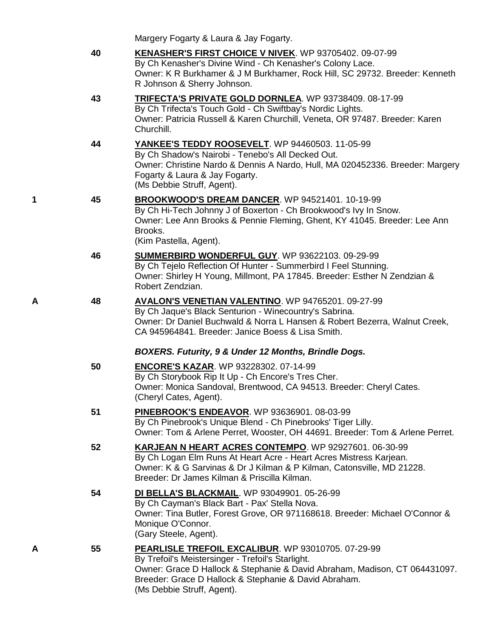|    | Margery Fogarty & Laura & Jay Fogarty.                                                                                                                                                                                                                       |
|----|--------------------------------------------------------------------------------------------------------------------------------------------------------------------------------------------------------------------------------------------------------------|
| 40 | <b>KENASHER'S FIRST CHOICE V NIVEK. WP 93705402. 09-07-99</b><br>By Ch Kenasher's Divine Wind - Ch Kenasher's Colony Lace.<br>Owner: K R Burkhamer & J M Burkhamer, Rock Hill, SC 29732. Breeder: Kenneth<br>R Johnson & Sherry Johnson.                     |
| 43 | <b>TRIFECTA'S PRIVATE GOLD DORNLEA. WP 93738409. 08-17-99</b><br>By Ch Trifecta's Touch Gold - Ch Swiftbay's Nordic Lights.<br>Owner: Patricia Russell & Karen Churchill, Veneta, OR 97487. Breeder: Karen<br>Churchill.                                     |
| 44 | <b>YANKEE'S TEDDY ROOSEVELT.</b> WP 94460503. 11-05-99<br>By Ch Shadow's Nairobi - Tenebo's All Decked Out.<br>Owner: Christine Nardo & Dennis A Nardo, Hull, MA 020452336. Breeder: Margery<br>Fogarty & Laura & Jay Fogarty.<br>(Ms Debbie Struff, Agent). |
| 45 | BROOKWOOD'S DREAM DANCER. WP 94521401. 10-19-99<br>By Ch Hi-Tech Johnny J of Boxerton - Ch Brookwood's Ivy In Snow.<br>Owner: Lee Ann Brooks & Pennie Fleming, Ghent, KY 41045. Breeder: Lee Ann<br>Brooks.<br>(Kim Pastella, Agent).                        |

- **46 [SUMMERBIRD WONDERFUL GUY](http://www.infodog.com/my/drlookup2.htm?makc=WP%2093622103&mdog=Summerbird+Wonderful+Guy&wins=all)**. WP 93622103. 09-29-99 By Ch Tejelo Reflection Of Hunter - Summerbird I Feel Stunning. Owner: Shirley H Young, Millmont, PA 17845. Breeder: Esther N Zendzian & Robert Zendzian.
- **A 48 [AVALON'S VENETIAN VALENTINO](http://www.infodog.com/my/drlookup2.htm?makc=WP%2094765201&mdog=Avalon%27s+Venetian+Valentino&wins=all)**. WP 94765201. 09-27-99 By Ch Jaque's Black Senturion - Winecountry's Sabrina. Owner: Dr Daniel Buchwald & Norra L Hansen & Robert Bezerra, Walnut Creek, CA 945964841. Breeder: Janice Boess & Lisa Smith.

#### *BOXERS. Futurity, 9 & Under 12 Months, Brindle Dogs.*

Breeder: Grace D Hallock & Stephanie & David Abraham.

(Ms Debbie Struff, Agent).

|   | 50 | <b>ENCORE'S KAZAR. WP 93228302. 07-14-99</b><br>By Ch Storybook Rip It Up - Ch Encore's Tres Cher.<br>Owner: Monica Sandoval, Brentwood, CA 94513. Breeder: Cheryl Cates.<br>(Cheryl Cates, Agent).                                                          |
|---|----|--------------------------------------------------------------------------------------------------------------------------------------------------------------------------------------------------------------------------------------------------------------|
|   | 51 | <b>PINEBROOK'S ENDEAVOR.</b> WP 93636901. 08-03-99<br>By Ch Pinebrook's Unique Blend - Ch Pinebrooks' Tiger Lilly.<br>Owner: Tom & Arlene Perret, Wooster, OH 44691. Breeder: Tom & Arlene Perret.                                                           |
|   | 52 | <b>KARJEAN N HEART ACRES CONTEMPO.</b> WP 92927601. 06-30-99<br>By Ch Logan Elm Runs At Heart Acre - Heart Acres Mistress Karjean.<br>Owner: K & G Sarvinas & Dr J Kilman & P Kilman, Catonsville, MD 21228.<br>Breeder: Dr James Kilman & Priscilla Kilman. |
|   | 54 | <b>DI BELLA'S BLACKMAIL. WP 93049901. 05-26-99</b><br>By Ch Cayman's Black Bart - Pax' Stella Nova.<br>Owner: Tina Butler, Forest Grove, OR 971168618. Breeder: Michael O'Connor &<br>Monique O'Connor.<br>(Gary Steele, Agent).                             |
| А | 55 | PEARLISLE TREFOIL EXCALIBUR. WP 93010705. 07-29-99<br>By Trefoil's Meistersinger - Trefoil's Starlight.<br>Owner: Grace D Hallock & Stephanie & David Abraham, Madison, CT 064431097.                                                                        |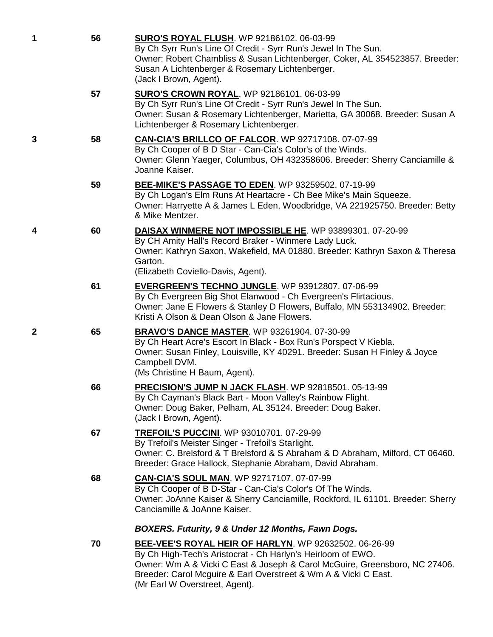| 1 | 56 | <b>SURO'S ROYAL FLUSH.</b> WP 92186102. 06-03-99<br>By Ch Syrr Run's Line Of Credit - Syrr Run's Jewel In The Sun.<br>Owner: Robert Chambliss & Susan Lichtenberger, Coker, AL 354523857. Breeder:<br>Susan A Lichtenberger & Rosemary Lichtenberger.<br>(Jack I Brown, Agent).                         |
|---|----|---------------------------------------------------------------------------------------------------------------------------------------------------------------------------------------------------------------------------------------------------------------------------------------------------------|
|   | 57 | <b>SURO'S CROWN ROYAL. WP 92186101. 06-03-99</b><br>By Ch Syrr Run's Line Of Credit - Syrr Run's Jewel In The Sun.<br>Owner: Susan & Rosemary Lichtenberger, Marietta, GA 30068. Breeder: Susan A<br>Lichtenberger & Rosemary Lichtenberger.                                                            |
| 3 | 58 | CAN-CIA'S BRILLCO OF FALCOR. WP 92717108. 07-07-99<br>By Ch Cooper of B D Star - Can-Cia's Color's of the Winds.<br>Owner: Glenn Yaeger, Columbus, OH 432358606. Breeder: Sherry Canciamille &<br>Joanne Kaiser.                                                                                        |
|   | 59 | BEE-MIKE'S PASSAGE TO EDEN. WP 93259502. 07-19-99<br>By Ch Logan's Elm Runs At Heartacre - Ch Bee Mike's Main Squeeze.<br>Owner: Harryette A & James L Eden, Woodbridge, VA 221925750. Breeder: Betty<br>& Mike Mentzer.                                                                                |
| 4 | 60 | <b>DAISAX WINMERE NOT IMPOSSIBLE HE.</b> WP 93899301. 07-20-99<br>By CH Amity Hall's Record Braker - Winmere Lady Luck.<br>Owner: Kathryn Saxon, Wakefield, MA 01880. Breeder: Kathryn Saxon & Theresa<br>Garton.<br>(Elizabeth Coviello-Davis, Agent).                                                 |
|   | 61 | <b>EVERGREEN'S TECHNO JUNGLE. WP 93912807. 07-06-99</b><br>By Ch Evergreen Big Shot Elanwood - Ch Evergreen's Flirtacious.<br>Owner: Jane E Flowers & Stanley D Flowers, Buffalo, MN 553134902. Breeder:<br>Kristi A Olson & Dean Olson & Jane Flowers.                                                 |
| 2 | 65 | <b>BRAVO'S DANCE MASTER.</b> WP 93261904. 07-30-99<br>By Ch Heart Acre's Escort In Black - Box Run's Porspect V Kiebla.<br>Owner: Susan Finley, Louisville, KY 40291. Breeder: Susan H Finley & Joyce<br>Campbell DVM.<br>(Ms Christine H Baum, Agent).                                                 |
|   | 66 | PRECISION'S JUMP N JACK FLASH. WP 92818501. 05-13-99<br>By Ch Cayman's Black Bart - Moon Valley's Rainbow Flight.<br>Owner: Doug Baker, Pelham, AL 35124. Breeder: Doug Baker.<br>(Jack I Brown, Agent).                                                                                                |
|   | 67 | <b>TREFOIL'S PUCCINI.</b> WP 93010701. 07-29-99<br>By Trefoil's Meister Singer - Trefoil's Starlight.<br>Owner: C. Brelsford & T Brelsford & S Abraham & D Abraham, Milford, CT 06460.<br>Breeder: Grace Hallock, Stephanie Abraham, David Abraham.                                                     |
|   | 68 | <b>CAN-CIA'S SOUL MAN. WP 92717107. 07-07-99</b><br>By Ch Cooper of B D-Star - Can-Cia's Color's Of The Winds.<br>Owner: JoAnne Kaiser & Sherry Canciamille, Rockford, IL 61101. Breeder: Sherry<br>Canciamille & JoAnne Kaiser.                                                                        |
|   |    | BOXERS. Futurity, 9 & Under 12 Months, Fawn Dogs.                                                                                                                                                                                                                                                       |
|   | 70 | BEE-VEE'S ROYAL HEIR OF HARLYN. WP 92632502. 06-26-99<br>By Ch High-Tech's Aristocrat - Ch Harlyn's Heirloom of EWO.<br>Owner: Wm A & Vicki C East & Joseph & Carol McGuire, Greensboro, NC 27406.<br>Breeder: Carol Mcguire & Earl Overstreet & Wm A & Vicki C East.<br>(Mr Earl W Overstreet, Agent). |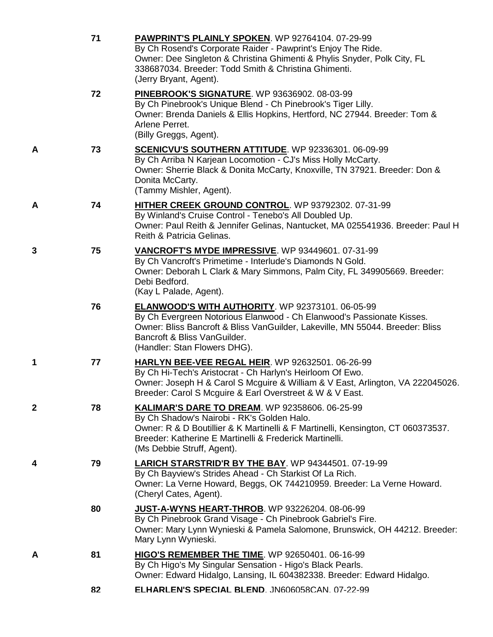|   | 71 | PAWPRINT'S PLAINLY SPOKEN. WP 92764104. 07-29-99<br>By Ch Rosend's Corporate Raider - Pawprint's Enjoy The Ride.<br>Owner: Dee Singleton & Christina Ghimenti & Phylis Snyder, Polk City, FL<br>338687034. Breeder: Todd Smith & Christina Ghimenti.<br>(Jerry Bryant, Agent).    |
|---|----|-----------------------------------------------------------------------------------------------------------------------------------------------------------------------------------------------------------------------------------------------------------------------------------|
|   | 72 | PINEBROOK'S SIGNATURE. WP 93636902. 08-03-99<br>By Ch Pinebrook's Unique Blend - Ch Pinebrook's Tiger Lilly.<br>Owner: Brenda Daniels & Ellis Hopkins, Hertford, NC 27944. Breeder: Tom &<br>Arlene Perret.<br>(Billy Greggs, Agent).                                             |
| A | 73 | <b>SCENICVU'S SOUTHERN ATTITUDE.</b> WP 92336301. 06-09-99<br>By Ch Arriba N Karjean Locomotion - CJ's Miss Holly McCarty.<br>Owner: Sherrie Black & Donita McCarty, Knoxville, TN 37921. Breeder: Don &<br>Donita McCarty.<br>(Tammy Mishler, Agent).                            |
| A | 74 | HITHER CREEK GROUND CONTROL. WP 93792302. 07-31-99<br>By Winland's Cruise Control - Tenebo's All Doubled Up.<br>Owner: Paul Reith & Jennifer Gelinas, Nantucket, MA 025541936. Breeder: Paul H<br>Reith & Patricia Gelinas.                                                       |
| 3 | 75 | VANCROFT'S MYDE IMPRESSIVE. WP 93449601. 07-31-99<br>By Ch Vancroft's Primetime - Interlude's Diamonds N Gold.<br>Owner: Deborah L Clark & Mary Simmons, Palm City, FL 349905669. Breeder:<br>Debi Bedford.<br>(Kay L Palade, Agent).                                             |
|   | 76 | <b>ELANWOOD'S WITH AUTHORITY.</b> WP 92373101. 06-05-99<br>By Ch Evergreen Notorious Elanwood - Ch Elanwood's Passionate Kisses.<br>Owner: Bliss Bancroft & Bliss VanGuilder, Lakeville, MN 55044. Breeder: Bliss<br>Bancroft & Bliss VanGuilder.<br>(Handler: Stan Flowers DHG). |
| 1 | 77 | <b>HARLYN BEE-VEE REGAL HEIR. WP 92632501. 06-26-99</b><br>By Ch Hi-Tech's Aristocrat - Ch Harlyn's Heirloom Of Ewo.<br>Owner: Joseph H & Carol S Mcguire & William & V East, Arlington, VA 222045026.<br>Breeder: Carol S Mcguire & Earl Overstreet & W & V East.                |
| 2 | 78 | KALIMAR'S DARE TO DREAM. WP 92358606. 06-25-99<br>By Ch Shadow's Nairobi - RK's Golden Halo.<br>Owner: R & D Boutillier & K Martinelli & F Martinelli, Kensington, CT 060373537.<br>Breeder: Katherine E Martinelli & Frederick Martinelli.<br>(Ms Debbie Struff, Agent).         |
| 4 | 79 | LARICH STARSTRID'R BY THE BAY. WP 94344501. 07-19-99<br>By Ch Bayview's Strides Ahead - Ch Starkist Of La Rich.<br>Owner: La Verne Howard, Beggs, OK 744210959. Breeder: La Verne Howard.<br>(Cheryl Cates, Agent).                                                               |
|   | 80 | JUST-A-WYNS HEART-THROB. WP 93226204. 08-06-99<br>By Ch Pinebrook Grand Visage - Ch Pinebrook Gabriel's Fire.<br>Owner: Mary Lynn Wynieski & Pamela Salomone, Brunswick, OH 44212. Breeder:<br>Mary Lynn Wynieski.                                                                |
| A | 81 | HIGO'S REMEMBER THE TIME. WP 92650401. 06-16-99<br>By Ch Higo's My Singular Sensation - Higo's Black Pearls.<br>Owner: Edward Hidalgo, Lansing, IL 604382338. Breeder: Edward Hidalgo.                                                                                            |
|   | 82 | ELHARLEN'S SPECIAL BLEND. JN606058CAN. 07-22-99                                                                                                                                                                                                                                   |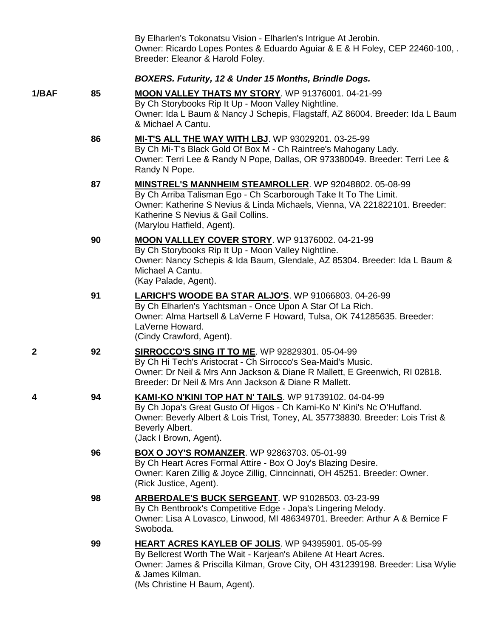|              |    | By Elharlen's Tokonatsu Vision - Elharlen's Intrigue At Jerobin.<br>Owner: Ricardo Lopes Pontes & Eduardo Aguiar & E & H Foley, CEP 22460-100,.<br>Breeder: Eleanor & Harold Foley.                                                                                          |
|--------------|----|------------------------------------------------------------------------------------------------------------------------------------------------------------------------------------------------------------------------------------------------------------------------------|
|              |    | BOXERS. Futurity, 12 & Under 15 Months, Brindle Dogs.                                                                                                                                                                                                                        |
| 1/BAF        | 85 | MOON VALLEY THATS MY STORY. WP 91376001. 04-21-99<br>By Ch Storybooks Rip It Up - Moon Valley Nightline.<br>Owner: Ida L Baum & Nancy J Schepis, Flagstaff, AZ 86004. Breeder: Ida L Baum<br>& Michael A Cantu.                                                              |
|              | 86 | <b>MI-T'S ALL THE WAY WITH LBJ.</b> WP 93029201. 03-25-99<br>By Ch Mi-T's Black Gold Of Box M - Ch Raintree's Mahogany Lady.<br>Owner: Terri Lee & Randy N Pope, Dallas, OR 973380049. Breeder: Terri Lee &<br>Randy N Pope.                                                 |
|              | 87 | MINSTREL'S MANNHEIM STEAMROLLER. WP 92048802. 05-08-99<br>By Ch Arriba Talisman Ego - Ch Scarborough Take It To The Limit.<br>Owner: Katherine S Nevius & Linda Michaels, Vienna, VA 221822101. Breeder:<br>Katherine S Nevius & Gail Collins.<br>(Marylou Hatfield, Agent). |
|              | 90 | MOON VALLLEY COVER STORY. WP 91376002. 04-21-99<br>By Ch Storybooks Rip It Up - Moon Valley Nightline.<br>Owner: Nancy Schepis & Ida Baum, Glendale, AZ 85304. Breeder: Ida L Baum &<br>Michael A Cantu.<br>(Kay Palade, Agent).                                             |
|              | 91 | LARICH'S WOODE BA STAR ALJO'S. WP 91066803. 04-26-99<br>By Ch Elharlen's Yachtsman - Once Upon A Star Of La Rich.<br>Owner: Alma Hartsell & LaVerne F Howard, Tulsa, OK 741285635. Breeder:<br>LaVerne Howard.<br>(Cindy Crawford, Agent).                                   |
| $\mathbf{2}$ | 92 | <b>SIRROCCO'S SING IT TO ME. WP 92829301. 05-04-99</b><br>By Ch Hi Tech's Aristocrat - Ch Sirrocco's Sea-Maid's Music.<br>Owner: Dr Neil & Mrs Ann Jackson & Diane R Mallett, E Greenwich, RI 02818.<br>Breeder: Dr Neil & Mrs Ann Jackson & Diane R Mallett.                |
| 4            | 94 | KAMI-KO N'KINI TOP HAT N' TAILS. WP 91739102. 04-04-99<br>By Ch Jopa's Great Gusto Of Higos - Ch Kami-Ko N' Kini's Nc O'Huffand.<br>Owner: Beverly Albert & Lois Trist, Toney, AL 357738830. Breeder: Lois Trist &<br>Beverly Albert.<br>(Jack I Brown, Agent).              |
|              | 96 | <b>BOX O JOY'S ROMANZER. WP 92863703. 05-01-99</b><br>By Ch Heart Acres Formal Attire - Box O Joy's Blazing Desire.<br>Owner: Karen Zillig & Joyce Zillig, Cinncinnati, OH 45251. Breeder: Owner.<br>(Rick Justice, Agent).                                                  |
|              | 98 | <b>ARBERDALE'S BUCK SERGEANT.</b> WP 91028503. 03-23-99<br>By Ch Bentbrook's Competitive Edge - Jopa's Lingering Melody.<br>Owner: Lisa A Lovasco, Linwood, MI 486349701. Breeder: Arthur A & Bernice F<br>Swoboda.                                                          |
|              | 99 | <b>HEART ACRES KAYLEB OF JOLIS. WP 94395901. 05-05-99</b><br>By Bellcrest Worth The Wait - Karjean's Abilene At Heart Acres.<br>Owner: James & Priscilla Kilman, Grove City, OH 431239198. Breeder: Lisa Wylie<br>& James Kilman.<br>(Ms Christine H Baum, Agent).           |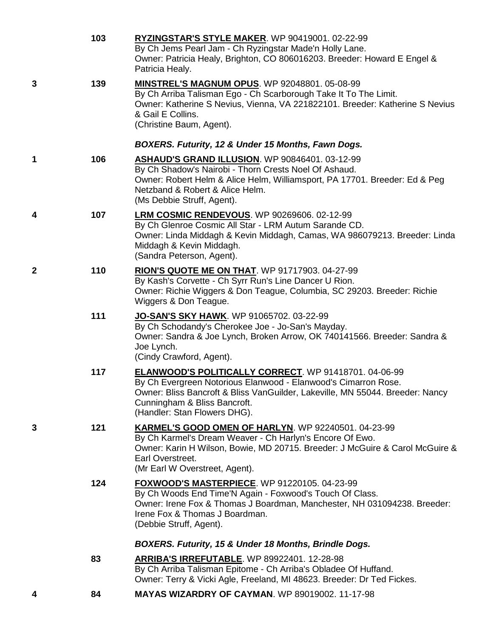|              | 103 | RYZINGSTAR'S STYLE MAKER. WP 90419001. 02-22-99<br>By Ch Jems Pearl Jam - Ch Ryzingstar Made'n Holly Lane.<br>Owner: Patricia Healy, Brighton, CO 806016203. Breeder: Howard E Engel &<br>Patricia Healy.                                                                |
|--------------|-----|--------------------------------------------------------------------------------------------------------------------------------------------------------------------------------------------------------------------------------------------------------------------------|
| 3            | 139 | MINSTREL'S MAGNUM OPUS. WP 92048801. 05-08-99<br>By Ch Arriba Talisman Ego - Ch Scarborough Take It To The Limit.<br>Owner: Katherine S Nevius, Vienna, VA 221822101. Breeder: Katherine S Nevius<br>& Gail E Collins.<br>(Christine Baum, Agent).                       |
|              |     | BOXERS. Futurity, 12 & Under 15 Months, Fawn Dogs.                                                                                                                                                                                                                       |
| 1            | 106 | <b>ASHAUD'S GRAND ILLUSION. WP 90846401. 03-12-99</b><br>By Ch Shadow's Nairobi - Thorn Crests Noel Of Ashaud.<br>Owner: Robert Helm & Alice Helm, Williamsport, PA 17701. Breeder: Ed & Peg<br>Netzband & Robert & Alice Helm.<br>(Ms Debbie Struff, Agent).            |
| 4            | 107 | LRM COSMIC RENDEVOUS. WP 90269606. 02-12-99<br>By Ch Glenroe Cosmic All Star - LRM Autum Sarande CD.<br>Owner: Linda Middagh & Kevin Middagh, Camas, WA 986079213. Breeder: Linda<br>Middagh & Kevin Middagh.<br>(Sandra Peterson, Agent).                               |
| $\mathbf{2}$ | 110 | RION'S QUOTE ME ON THAT. WP 91717903. 04-27-99<br>By Kash's Corvette - Ch Syrr Run's Line Dancer U Rion.<br>Owner: Richie Wiggers & Don Teague, Columbia, SC 29203. Breeder: Richie<br>Wiggers & Don Teague.                                                             |
|              | 111 | <b>JO-SAN'S SKY HAWK.</b> WP 91065702. 03-22-99<br>By Ch Schodandy's Cherokee Joe - Jo-San's Mayday.<br>Owner: Sandra & Joe Lynch, Broken Arrow, OK 740141566. Breeder: Sandra &<br>Joe Lynch.<br>(Cindy Crawford, Agent).                                               |
|              | 117 | ELANWOOD'S POLITICALLY CORRECT. WP 91418701. 04-06-99<br>By Ch Evergreen Notorious Elanwood - Elanwood's Cimarron Rose.<br>Owner: Bliss Bancroft & Bliss VanGuilder, Lakeville, MN 55044. Breeder: Nancy<br>Cunningham & Bliss Bancroft.<br>(Handler: Stan Flowers DHG). |
| 3            | 121 | KARMEL'S GOOD OMEN OF HARLYN. WP 92240501. 04-23-99<br>By Ch Karmel's Dream Weaver - Ch Harlyn's Encore Of Ewo.<br>Owner: Karin H Wilson, Bowie, MD 20715. Breeder: J McGuire & Carol McGuire &<br>Earl Overstreet.<br>(Mr Earl W Overstreet, Agent).                    |
|              | 124 | <b>FOXWOOD'S MASTERPIECE.</b> WP 91220105. 04-23-99<br>By Ch Woods End Time'N Again - Foxwood's Touch Of Class.<br>Owner: Irene Fox & Thomas J Boardman, Manchester, NH 031094238. Breeder:<br>Irene Fox & Thomas J Boardman.<br>(Debbie Struff, Agent).                 |
|              |     | BOXERS. Futurity, 15 & Under 18 Months, Brindle Dogs.                                                                                                                                                                                                                    |
|              | 83  | <b>ARRIBA'S IRREFUTABLE. WP 89922401. 12-28-98</b><br>By Ch Arriba Talisman Epitome - Ch Arriba's Obladee Of Huffand.<br>Owner: Terry & Vicki Agle, Freeland, MI 48623. Breeder: Dr Ted Fickes.                                                                          |
| 4            | 84  | <b>MAYAS WIZARDRY OF CAYMAN. WP 89019002. 11-17-98</b>                                                                                                                                                                                                                   |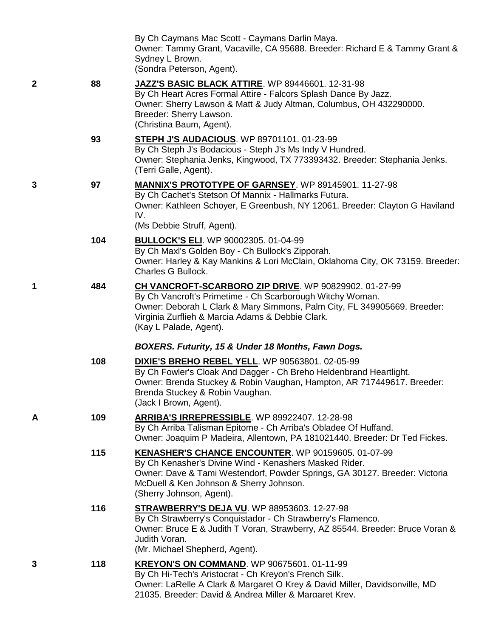|                  |     | By Ch Caymans Mac Scott - Caymans Darlin Maya.<br>Owner: Tammy Grant, Vacaville, CA 95688. Breeder: Richard E & Tammy Grant &<br>Sydney L Brown.<br>(Sondra Peterson, Agent).                                                                                                |
|------------------|-----|------------------------------------------------------------------------------------------------------------------------------------------------------------------------------------------------------------------------------------------------------------------------------|
| $\boldsymbol{2}$ | 88  | JAZZ'S BASIC BLACK ATTIRE. WP 89446601. 12-31-98<br>By Ch Heart Acres Formal Attire - Falcors Splash Dance By Jazz.<br>Owner: Sherry Lawson & Matt & Judy Altman, Columbus, OH 432290000.<br>Breeder: Sherry Lawson.<br>(Christina Baum, Agent).                             |
|                  | 93  | <b>STEPH J'S AUDACIOUS. WP 89701101. 01-23-99</b><br>By Ch Steph J's Bodacious - Steph J's Ms Indy V Hundred.<br>Owner: Stephania Jenks, Kingwood, TX 773393432. Breeder: Stephania Jenks.<br>(Terri Galle, Agent).                                                          |
| 3                | 97  | <b>MANNIX'S PROTOTYPE OF GARNSEY.</b> WP 89145901. 11-27-98<br>By Ch Cachet's Stetson Of Mannix - Hallmarks Futura.<br>Owner: Kathleen Schoyer, E Greenbush, NY 12061. Breeder: Clayton G Haviland<br>IV.<br>(Ms Debbie Struff, Agent).                                      |
|                  | 104 | <b>BULLOCK'S ELI. WP 90002305. 01-04-99</b><br>By Ch Maxl's Golden Boy - Ch Bullock's Zipporah.<br>Owner: Harley & Kay Mankins & Lori McClain, Oklahoma City, OK 73159. Breeder:<br><b>Charles G Bullock.</b>                                                                |
| 1                | 484 | CH VANCROFT-SCARBORO ZIP DRIVE. WP 90829902. 01-27-99<br>By Ch Vancroft's Primetime - Ch Scarborough Witchy Woman.<br>Owner: Deborah L Clark & Mary Simmons, Palm City, FL 349905669. Breeder:<br>Virginia Zurflieh & Marcia Adams & Debbie Clark.<br>(Kay L Palade, Agent). |
|                  |     | BOXERS. Futurity, 15 & Under 18 Months, Fawn Dogs.                                                                                                                                                                                                                           |
|                  | 108 | DIXIE'S BREHO REBEL YELL. WP 90563801. 02-05-99<br>By Ch Fowler's Cloak And Dagger - Ch Breho Heldenbrand Heartlight.<br>Owner: Brenda Stuckey & Robin Vaughan, Hampton, AR 717449617. Breeder:<br>Brenda Stuckey & Robin Vaughan.<br>(Jack I Brown, Agent).                 |
| A                | 109 | ARRIBA'S IRREPRESSIBLE. WP 89922407. 12-28-98<br>By Ch Arriba Talisman Epitome - Ch Arriba's Obladee Of Huffand.<br>Owner: Joaquim P Madeira, Allentown, PA 181021440. Breeder: Dr Ted Fickes.                                                                               |
|                  | 115 | <b>KENASHER'S CHANCE ENCOUNTER. WP 90159605. 01-07-99</b><br>By Ch Kenasher's Divine Wind - Kenashers Masked Rider.<br>Owner: Dave & Tami Westendorf, Powder Springs, GA 30127. Breeder: Victoria<br>McDuell & Ken Johnson & Sherry Johnson.<br>(Sherry Johnson, Agent).     |
|                  | 116 | <b>STRAWBERRY'S DEJA VU. WP 88953603. 12-27-98</b><br>By Ch Strawberry's Conquistador - Ch Strawberry's Flamenco.<br>Owner: Bruce E & Judith T Voran, Strawberry, AZ 85544. Breeder: Bruce Voran &<br>Judith Voran.<br>(Mr. Michael Shepherd, Agent).                        |
| 3                | 118 | <b>KREYON'S ON COMMAND.</b> WP 90675601. 01-11-99<br>By Ch Hi-Tech's Aristocrat - Ch Kreyon's French Silk.<br>Owner: LaRelle A Clark & Margaret O Krey & David Miller, Davidsonville, MD<br>21035. Breeder: David & Andrea Miller & Margaret Krev.                           |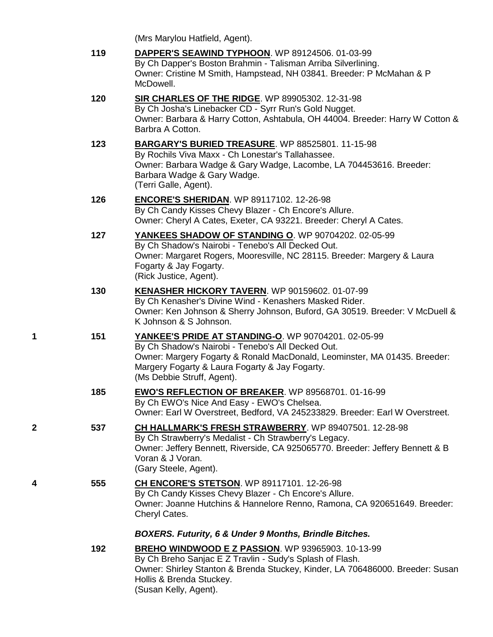(Mrs Marylou Hatfield, Agent).

|   | 119 | <b>DAPPER'S SEAWIND TYPHOON.</b> WP 89124506. 01-03-99<br>By Ch Dapper's Boston Brahmin - Talisman Arriba Silverlining.<br>Owner: Cristine M Smith, Hampstead, NH 03841. Breeder: P McMahan & P<br>McDowell.                                                          |
|---|-----|-----------------------------------------------------------------------------------------------------------------------------------------------------------------------------------------------------------------------------------------------------------------------|
|   | 120 | SIR CHARLES OF THE RIDGE. WP 89905302. 12-31-98<br>By Ch Josha's Linebacker CD - Syrr Run's Gold Nugget.<br>Owner: Barbara & Harry Cotton, Ashtabula, OH 44004. Breeder: Harry W Cotton &<br>Barbra A Cotton.                                                         |
|   | 123 | <b>BARGARY'S BURIED TREASURE.</b> WP 88525801. 11-15-98<br>By Rochils Viva Maxx - Ch Lonestar's Tallahassee.<br>Owner: Barbara Wadge & Gary Wadge, Lacombe, LA 704453616. Breeder:<br>Barbara Wadge & Gary Wadge.<br>(Terri Galle, Agent).                            |
|   | 126 | <b>ENCORE'S SHERIDAN.</b> WP 89117102. 12-26-98<br>By Ch Candy Kisses Chevy Blazer - Ch Encore's Allure.<br>Owner: Cheryl A Cates, Exeter, CA 93221. Breeder: Cheryl A Cates.                                                                                         |
|   | 127 | YANKEES SHADOW OF STANDING O. WP 90704202. 02-05-99<br>By Ch Shadow's Nairobi - Tenebo's All Decked Out.<br>Owner: Margaret Rogers, Mooresville, NC 28115. Breeder: Margery & Laura<br>Fogarty & Jay Fogarty.<br>(Rick Justice, Agent).                               |
|   | 130 | KENASHER HICKORY TAVERN. WP 90159602. 01-07-99<br>By Ch Kenasher's Divine Wind - Kenashers Masked Rider.<br>Owner: Ken Johnson & Sherry Johnson, Buford, GA 30519. Breeder: V McDuell &<br>K Johnson & S Johnson.                                                     |
| 1 | 151 | YANKEE'S PRIDE AT STANDING-O. WP 90704201. 02-05-99<br>By Ch Shadow's Nairobi - Tenebo's All Decked Out.<br>Owner: Margery Fogarty & Ronald MacDonald, Leominster, MA 01435. Breeder:<br>Margery Fogarty & Laura Fogarty & Jay Fogarty.<br>(Ms Debbie Struff, Agent). |
|   | 185 | <b>EWO'S REFLECTION OF BREAKER. WP 89568701. 01-16-99</b><br>By Ch EWO's Nice And Easy - EWO's Chelsea.<br>Owner: Earl W Overstreet, Bedford, VA 245233829. Breeder: Earl W Overstreet.                                                                               |
| 2 | 537 | CH HALLMARK'S FRESH STRAWBERRY. WP 89407501. 12-28-98<br>By Ch Strawberry's Medalist - Ch Strawberry's Legacy.<br>Owner: Jeffery Bennett, Riverside, CA 925065770. Breeder: Jeffery Bennett & B<br>Voran & J Voran.<br>(Gary Steele, Agent).                          |
| 4 | 555 | <b>CH ENCORE'S STETSON.</b> WP 89117101. 12-26-98<br>By Ch Candy Kisses Chevy Blazer - Ch Encore's Allure.<br>Owner: Joanne Hutchins & Hannelore Renno, Ramona, CA 920651649. Breeder:<br>Cheryl Cates.                                                               |
|   |     | <b>BOXERS. Futurity, 6 &amp; Under 9 Months, Brindle Bitches.</b>                                                                                                                                                                                                     |
|   | 192 | <b>BREHO WINDWOOD E Z PASSION. WP 93965903. 10-13-99</b><br>By Ch Breho Sanjac E Z Travlin - Sudy's Splash of Flash.<br>Owner: Shirley Stanton & Brenda Stuckey, Kinder, LA 706486000. Breeder: Susan<br>Hollis & Brenda Stuckey.<br>(Susan Kelly, Agent).            |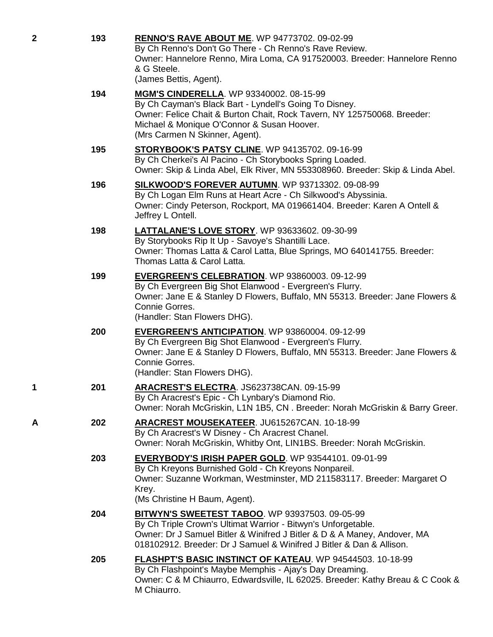| 2 | 193 | RENNO'S RAVE ABOUT ME. WP 94773702. 09-02-99<br>By Ch Renno's Don't Go There - Ch Renno's Rave Review.<br>Owner: Hannelore Renno, Mira Loma, CA 917520003. Breeder: Hannelore Renno<br>& G Steele.<br>(James Bettis, Agent).                                        |
|---|-----|---------------------------------------------------------------------------------------------------------------------------------------------------------------------------------------------------------------------------------------------------------------------|
|   | 194 | <b>MGM'S CINDERELLA.</b> WP 93340002. 08-15-99<br>By Ch Cayman's Black Bart - Lyndell's Going To Disney.<br>Owner: Felice Chait & Burton Chait, Rock Tavern, NY 125750068. Breeder:<br>Michael & Monique O'Connor & Susan Hoover.<br>(Mrs Carmen N Skinner, Agent). |
|   | 195 | <b>STORYBOOK'S PATSY CLINE.</b> WP 94135702. 09-16-99<br>By Ch Cherkei's Al Pacino - Ch Storybooks Spring Loaded.<br>Owner: Skip & Linda Abel, Elk River, MN 553308960. Breeder: Skip & Linda Abel.                                                                 |
|   | 196 | <b>SILKWOOD'S FOREVER AUTUMN. WP 93713302. 09-08-99</b><br>By Ch Logan Elm Runs at Heart Acre - Ch Silkwood's Abyssinia.<br>Owner: Cindy Peterson, Rockport, MA 019661404. Breeder: Karen A Ontell &<br>Jeffrey L Ontell.                                           |
|   | 198 | <b>LATTALANE'S LOVE STORY.</b> WP 93633602. 09-30-99<br>By Storybooks Rip It Up - Savoye's Shantilli Lace.<br>Owner: Thomas Latta & Carol Latta, Blue Springs, MO 640141755. Breeder:<br>Thomas Latta & Carol Latta.                                                |
|   | 199 | <b>EVERGREEN'S CELEBRATION.</b> WP 93860003. 09-12-99<br>By Ch Evergreen Big Shot Elanwood - Evergreen's Flurry.<br>Owner: Jane E & Stanley D Flowers, Buffalo, MN 55313. Breeder: Jane Flowers &<br>Connie Gorres.<br>(Handler: Stan Flowers DHG).                 |
|   | 200 | <b>EVERGREEN'S ANTICIPATION.</b> WP 93860004. 09-12-99<br>By Ch Evergreen Big Shot Elanwood - Evergreen's Flurry.<br>Owner: Jane E & Stanley D Flowers, Buffalo, MN 55313. Breeder: Jane Flowers &<br>Connie Gorres.<br>(Handler: Stan Flowers DHG).                |
| 1 | 201 | ARACREST'S ELECTRA. JS623738CAN. 09-15-99<br>By Ch Aracrest's Epic - Ch Lynbary's Diamond Rio.<br>Owner: Norah McGriskin, L1N 1B5, CN. Breeder: Norah McGriskin & Barry Greer.                                                                                      |
| Α | 202 | ARACREST MOUSEKATEER. JU615267CAN. 10-18-99<br>By Ch Aracrest's W Disney - Ch Aracrest Chanel.<br>Owner: Norah McGriskin, Whitby Ont, LIN1BS. Breeder: Norah McGriskin.                                                                                             |
|   | 203 | EVERYBODY'S IRISH PAPER GOLD. WP 93544101. 09-01-99<br>By Ch Kreyons Burnished Gold - Ch Kreyons Nonpareil.<br>Owner: Suzanne Workman, Westminster, MD 211583117. Breeder: Margaret O<br>Krey.<br>(Ms Christine H Baum, Agent).                                     |
|   | 204 | BITWYN'S SWEETEST TABOO. WP 93937503. 09-05-99<br>By Ch Triple Crown's Ultimat Warrior - Bitwyn's Unforgetable.<br>Owner: Dr J Samuel Bitler & Winifred J Bitler & D & A Maney, Andover, MA<br>018102912. Breeder: Dr J Samuel & Winifred J Bitler & Dan & Allison. |
|   | 205 | FLASHPT'S BASIC INSTINCT OF KATEAU. WP 94544503. 10-18-99<br>By Ch Flashpoint's Maybe Memphis - Ajay's Day Dreaming.<br>Owner: C & M Chiaurro, Edwardsville, IL 62025. Breeder: Kathy Breau & C Cook &<br>M Chiaurro.                                               |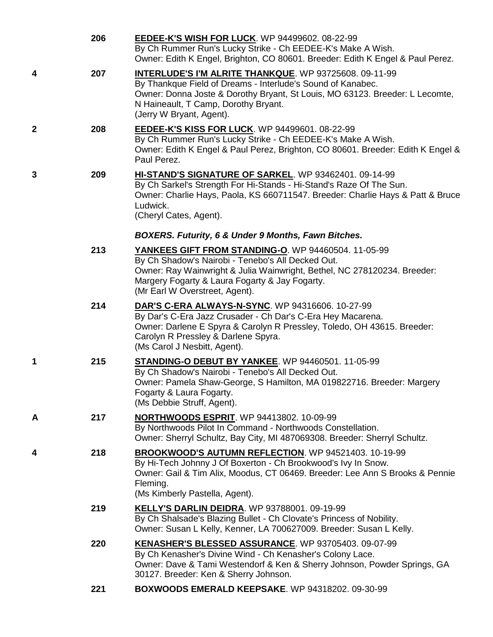|             | 206 | <b>EEDEE-K'S WISH FOR LUCK.</b> WP 94499602. 08-22-99<br>By Ch Rummer Run's Lucky Strike - Ch EEDEE-K's Make A Wish.<br>Owner: Edith K Engel, Brighton, CO 80601. Breeder: Edith K Engel & Paul Perez.                                                                           |
|-------------|-----|----------------------------------------------------------------------------------------------------------------------------------------------------------------------------------------------------------------------------------------------------------------------------------|
| 4           | 207 | <b>INTERLUDE'S I'M ALRITE THANKQUE. WP 93725608. 09-11-99</b><br>By Thankque Field of Dreams - Interlude's Sound of Kanabec.<br>Owner: Donna Joste & Dorothy Bryant, St Louis, MO 63123. Breeder: L Lecomte,<br>N Haineault, T Camp, Dorothy Bryant.<br>(Jerry W Bryant, Agent). |
| $\mathbf 2$ | 208 | <b>EEDEE-K'S KISS FOR LUCK.</b> WP 94499601. 08-22-99<br>By Ch Rummer Run's Lucky Strike - Ch EEDEE-K's Make A Wish.<br>Owner: Edith K Engel & Paul Perez, Brighton, CO 80601. Breeder: Edith K Engel &<br>Paul Perez.                                                           |
| 3           | 209 | HI-STAND'S SIGNATURE OF SARKEL. WP 93462401. 09-14-99<br>By Ch Sarkel's Strength For Hi-Stands - Hi-Stand's Raze Of The Sun.<br>Owner: Charlie Hays, Paola, KS 660711547. Breeder: Charlie Hays & Patt & Bruce<br>Ludwick.<br>(Cheryl Cates, Agent).                             |
|             |     | BOXERS. Futurity, 6 & Under 9 Months, Fawn Bitches.                                                                                                                                                                                                                              |
|             | 213 | YANKEES GIFT FROM STANDING-O. WP 94460504. 11-05-99<br>By Ch Shadow's Nairobi - Tenebo's All Decked Out.<br>Owner: Ray Wainwright & Julia Wainwright, Bethel, NC 278120234. Breeder:<br>Margery Fogarty & Laura Fogarty & Jay Fogarty.<br>(Mr Earl W Overstreet, Agent).         |
|             | 214 | DAR'S C-ERA ALWAYS-N-SYNC. WP 94316606. 10-27-99<br>By Dar's C-Era Jazz Crusader - Ch Dar's C-Era Hey Macarena.<br>Owner: Darlene E Spyra & Carolyn R Pressley, Toledo, OH 43615. Breeder:<br>Carolyn R Pressley & Darlene Spyra.<br>(Ms Carol J Nesbitt, Agent).                |
| 1           | 215 | STANDING-O DEBUT BY YANKEE. WP 94460501. 11-05-99<br>By Ch Shadow's Nairobi - Tenebo's All Decked Out.<br>Owner: Pamela Shaw-George, S Hamilton, MA 019822716. Breeder: Margery<br>Fogarty & Laura Fogarty.<br>(Ms Debbie Struff, Agent).                                        |
| Α           | 217 | <b>NORTHWOODS ESPRIT.</b> WP 94413802. 10-09-99<br>By Northwoods Pilot In Command - Northwoods Constellation.<br>Owner: Sherryl Schultz, Bay City, MI 487069308. Breeder: Sherryl Schultz.                                                                                       |
| 4           | 218 | <b>BROOKWOOD'S AUTUMN REFLECTION.</b> WP 94521403. 10-19-99<br>By Hi-Tech Johnny J Of Boxerton - Ch Brookwood's Ivy In Snow.<br>Owner: Gail & Tim Alix, Moodus, CT 06469. Breeder: Lee Ann S Brooks & Pennie<br>Fleming.<br>(Ms Kimberly Pastella, Agent).                       |
|             | 219 | KELLY'S DARLIN DEIDRA. WP 93788001. 09-19-99<br>By Ch Shalsade's Blazing Bullet - Ch Clovate's Princess of Nobility.<br>Owner: Susan L Kelly, Kenner, LA 700627009. Breeder: Susan L Kelly.                                                                                      |
|             | 220 | KENASHER'S BLESSED ASSURANCE. WP 93705403. 09-07-99<br>By Ch Kenasher's Divine Wind - Ch Kenasher's Colony Lace.<br>Owner: Dave & Tami Westendorf & Ken & Sherry Johnson, Powder Springs, GA<br>30127. Breeder: Ken & Sherry Johnson.                                            |
|             | 221 | BOXWOODS EMERALD KEEPSAKE. WP 94318202. 09-30-99                                                                                                                                                                                                                                 |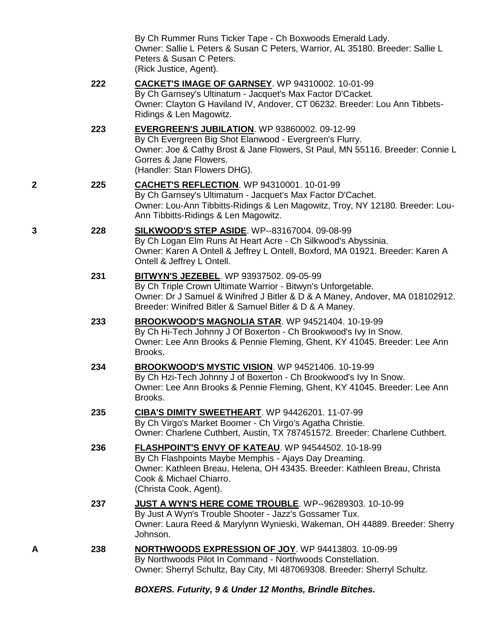By Ch Rummer Runs Ticker Tape - Ch Boxwoods Emerald Lady. Owner: Sallie L Peters & Susan C Peters, Warrior, AL 35180. Breeder: Sallie L Peters & Susan C Peters. (Rick Justice, Agent).

- **222 [CACKET'S IMAGE OF GARNSEY](http://www.infodog.com/my/drlookup2.htm?makc=WP%2094310002&mdog=Cacket%27s+Image+Of+Garnsey&wins=all)**. WP 94310002. 10-01-99 By Ch Garnsey's Ultinatum - Jacquet's Max Factor D'Cacket. Owner: Clayton G Haviland IV, Andover, CT 06232. Breeder: Lou Ann Tibbets-Ridings & Len Magowitz.
- **223 [EVERGREEN'S JUBILATION](http://www.infodog.com/my/drlookup2.htm?makc=WP%2093860002&mdog=Evergreen%27s+Jubilation&wins=all)**. WP 93860002. 09-12-99 By Ch Evergreen Big Shot Elanwood - Evergreen's Flurry. Owner: Joe & Cathy Brost & Jane Flowers, St Paul, MN 55116. Breeder: Connie L Gorres & Jane Flowers. (Handler: Stan Flowers DHG).
- **2 225 [CACHET'S REFLECTION](http://www.infodog.com/my/drlookup2.htm?makc=WP%2094310001&mdog=Cachet%27s+Reflection&wins=all)**. WP 94310001. 10-01-99 By Ch Garnsey's Ultimatum - Jacquet's Max Factor D'Cachet. Owner: Lou-Ann Tibbitts-Ridings & Len Magowitz, Troy, NY 12180. Breeder: Lou-Ann Tibbitts-Ridings & Len Magowitz.
- **3 228 [SILKWOOD'S STEP ASIDE](http://www.infodog.com/my/drlookup2.htm?makc=WP--83167004&mdog=Silkwood%27s+Step+Aside&wins=all)**. WP--83167004. 09-08-99 By Ch Logan Elm Runs At Heart Acre - Ch Silkwood's Abyssinia. Owner: Karen A Ontell & Jeffrey L Ontell, Boxford, MA 01921. Breeder: Karen A Ontell & Jeffrey L Ontell.
	- **231 [BITWYN'S JEZEBEL](http://www.infodog.com/my/drlookup2.htm?makc=WP%2093937502&mdog=Bitwyn%27s+Jezebel&wins=all)**. WP 93937502. 09-05-99 By Ch Triple Crown Ultimate Warrior - Bitwyn's Unforgetable. Owner: Dr J Samuel & Winifred J Bitler & D & A Maney, Andover, MA 018102912. Breeder: Winifred Bitler & Samuel Bitler & D & A Maney.
	- **233 [BROOKWOOD'S MAGNOLIA STAR](http://www.infodog.com/my/drlookup2.htm?makc=WP%2094521404&mdog=Brookwood%27s+Magnolia+Star&wins=all)**. WP 94521404. 10-19-99 By Ch Hi-Tech Johnny J Of Boxerton - Ch Brookwood's Ivy In Snow. Owner: Lee Ann Brooks & Pennie Fleming, Ghent, KY 41045. Breeder: Lee Ann Brooks.
	- **234 [BROOKWOOD'S MYSTIC VISION](http://www.infodog.com/my/drlookup2.htm?makc=WP%2094521406&mdog=Brookwood%27s+Mystic+Vision&wins=all)**. WP 94521406. 10-19-99 By Ch Hzi-Tech Johnny J of Boxerton - Ch Brookwood's Ivy In Snow. Owner: Lee Ann Brooks & Pennie Fleming, Ghent, KY 41045. Breeder: Lee Ann Brooks.
	- **235 [CIBA'S DIMITY SWEETHEART](http://www.infodog.com/my/drlookup2.htm?makc=WP%2094426201&mdog=Ciba%27s+Dimity+Sweetheart&wins=all)**. WP 94426201. 11-07-99 By Ch Virgo's Market Boomer - Ch Virgo's Agatha Christie. Owner: Charlene Cuthbert, Austin, TX 787451572. Breeder: Charlene Cuthbert.
	- **236 [FLASHPOINT'S ENVY OF KATEAU](http://www.infodog.com/my/drlookup2.htm?makc=WP%2094544502&mdog=Flashpoint%27s+Envy+of+Kateau&wins=all)**. WP 94544502. 10-18-99 By Ch Flashpoints Maybe Memphis - Ajays Day Dreaming. Owner: Kathleen Breau, Helena, OH 43435. Breeder: Kathleen Breau, Christa Cook & Michael Chiarro. (Christa Cook, Agent).
	- **237 [JUST A WYN'S HERE COME TROUBLE](http://www.infodog.com/my/drlookup2.htm?makc=WP--96289303&mdog=Just+A+Wyn%27s+Here+Come+Trouble&wins=all)**. WP--96289303. 10-10-99 By Just A Wyn's Trouble Shooter - Jazz's Gossamer Tux. Owner: Laura Reed & Marylynn Wynieski, Wakeman, OH 44889. Breeder: Sherry Johnson.
- **A 238 [NORTHWOODS EXPRESSION OF JOY](http://www.infodog.com/my/drlookup2.htm?makc=WP%2094413803&mdog=Northwoods+Expression+Of+Joy&wins=all)**. WP 94413803. 10-09-99 By Northwoods Pilot In Command - Northwoods Constellation. Owner: Sherryl Schultz, Bay City, MI 487069308. Breeder: Sherryl Schultz.

# *BOXERS. Futurity, 9 & Under 12 Months, Brindle Bitches.*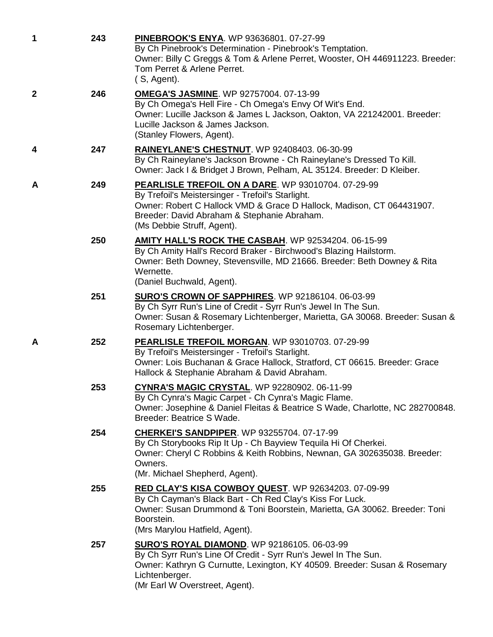| 1            | 243 | PINEBROOK'S ENYA. WP 93636801. 07-27-99<br>By Ch Pinebrook's Determination - Pinebrook's Temptation.<br>Owner: Billy C Greggs & Tom & Arlene Perret, Wooster, OH 446911223. Breeder:<br>Tom Perret & Arlene Perret.<br>(S, Agent).                            |
|--------------|-----|---------------------------------------------------------------------------------------------------------------------------------------------------------------------------------------------------------------------------------------------------------------|
| $\mathbf{2}$ | 246 | <b>OMEGA'S JASMINE.</b> WP 92757004. 07-13-99<br>By Ch Omega's Hell Fire - Ch Omega's Envy Of Wit's End.<br>Owner: Lucille Jackson & James L Jackson, Oakton, VA 221242001. Breeder:<br>Lucille Jackson & James Jackson.<br>(Stanley Flowers, Agent).         |
| 4            | 247 | RAINEYLANE'S CHESTNUT. WP 92408403. 06-30-99<br>By Ch Raineylane's Jackson Browne - Ch Raineylane's Dressed To Kill.<br>Owner: Jack I & Bridget J Brown, Pelham, AL 35124. Breeder: D Kleiber.                                                                |
| A            | 249 | PEARLISLE TREFOIL ON A DARE. WP 93010704. 07-29-99<br>By Trefoil's Meistersinger - Trefoil's Starlight.<br>Owner: Robert C Hallock VMD & Grace D Hallock, Madison, CT 064431907.<br>Breeder: David Abraham & Stephanie Abraham.<br>(Ms Debbie Struff, Agent). |
|              | 250 | <b>AMITY HALL'S ROCK THE CASBAH. WP 92534204. 06-15-99</b><br>By Ch Amity Hall's Record Braker - Birchwood's Blazing Hailstorm.<br>Owner: Beth Downey, Stevensville, MD 21666. Breeder: Beth Downey & Rita<br>Wernette.<br>(Daniel Buchwald, Agent).          |
|              | 251 | SURO'S CROWN OF SAPPHIRES. WP 92186104. 06-03-99<br>By Ch Syrr Run's Line of Credit - Syrr Run's Jewel In The Sun.<br>Owner: Susan & Rosemary Lichtenberger, Marietta, GA 30068. Breeder: Susan &<br>Rosemary Lichtenberger.                                  |
| A            | 252 | PEARLISLE TREFOIL MORGAN. WP 93010703. 07-29-99<br>By Trefoil's Meistersinger - Trefoil's Starlight.<br>Owner: Lois Buchanan & Grace Hallock, Stratford, CT 06615. Breeder: Grace<br>Hallock & Stephanie Abraham & David Abraham.                             |
|              | 253 | CYNRA'S MAGIC CRYSTAL. WP 92280902. 06-11-99<br>By Ch Cynra's Magic Carpet - Ch Cynra's Magic Flame.<br>Owner: Josephine & Daniel Fleitas & Beatrice S Wade, Charlotte, NC 282700848.<br>Breeder: Beatrice S Wade.                                            |
|              | 254 | <b>CHERKEI'S SANDPIPER.</b> WP 93255704. 07-17-99<br>By Ch Storybooks Rip It Up - Ch Bayview Tequila Hi Of Cherkei.<br>Owner: Cheryl C Robbins & Keith Robbins, Newnan, GA 302635038. Breeder:<br>Owners.<br>(Mr. Michael Shepherd, Agent).                   |
|              | 255 | <b>RED CLAY'S KISA COWBOY QUEST. WP 92634203. 07-09-99</b><br>By Ch Cayman's Black Bart - Ch Red Clay's Kiss For Luck.<br>Owner: Susan Drummond & Toni Boorstein, Marietta, GA 30062. Breeder: Toni<br>Boorstein.<br>(Mrs Marylou Hatfield, Agent).           |
|              | 257 | <b>SURO'S ROYAL DIAMOND.</b> WP 92186105. 06-03-99<br>By Ch Syrr Run's Line Of Credit - Syrr Run's Jewel In The Sun.<br>Owner: Kathryn G Curnutte, Lexington, KY 40509. Breeder: Susan & Rosemary<br>Lichtenberger.<br>(Mr Earl W Overstreet, Agent).         |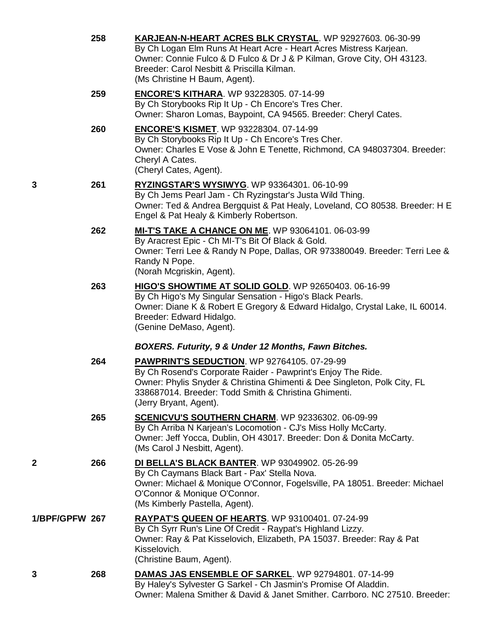|                | 258 | KARJEAN-N-HEART ACRES BLK CRYSTAL. WP 92927603. 06-30-99<br>By Ch Logan Elm Runs At Heart Acre - Heart Acres Mistress Karjean.<br>Owner: Connie Fulco & D Fulco & Dr J & P Kilman, Grove City, OH 43123.<br>Breeder: Carol Nesbitt & Priscilla Kilman.<br>(Ms Christine H Baum, Agent). |
|----------------|-----|-----------------------------------------------------------------------------------------------------------------------------------------------------------------------------------------------------------------------------------------------------------------------------------------|
|                | 259 | <b>ENCORE'S KITHARA.</b> WP 93228305. 07-14-99<br>By Ch Storybooks Rip It Up - Ch Encore's Tres Cher.<br>Owner: Sharon Lomas, Baypoint, CA 94565. Breeder: Cheryl Cates.                                                                                                                |
|                | 260 | <b>ENCORE'S KISMET. WP 93228304. 07-14-99</b><br>By Ch Storybooks Rip It Up - Ch Encore's Tres Cher.<br>Owner: Charles E Vose & John E Tenette, Richmond, CA 948037304. Breeder:<br>Cheryl A Cates.<br>(Cheryl Cates, Agent).                                                           |
| 3              | 261 | RYZINGSTAR'S WYSIWYG. WP 93364301. 06-10-99<br>By Ch Jems Pearl Jam - Ch Ryzingstar's Justa Wild Thing.<br>Owner: Ted & Andrea Bergquist & Pat Healy, Loveland, CO 80538. Breeder: H E<br>Engel & Pat Healy & Kimberly Robertson.                                                       |
|                | 262 | MI-T'S TAKE A CHANCE ON ME. WP 93064101. 06-03-99<br>By Aracrest Epic - Ch MI-T's Bit Of Black & Gold.<br>Owner: Terri Lee & Randy N Pope, Dallas, OR 973380049. Breeder: Terri Lee &<br>Randy N Pope.<br>(Norah Mcgriskin, Agent).                                                     |
|                | 263 | HIGO'S SHOWTIME AT SOLID GOLD. WP 92650403. 06-16-99<br>By Ch Higo's My Singular Sensation - Higo's Black Pearls.<br>Owner: Diane K & Robert E Gregory & Edward Hidalgo, Crystal Lake, IL 60014.<br>Breeder: Edward Hidalgo.<br>(Genine DeMaso, Agent).                                 |
|                |     | BOXERS. Futurity, 9 & Under 12 Months, Fawn Bitches.                                                                                                                                                                                                                                    |
|                | 264 | <b>PAWPRINT'S SEDUCTION. WP 92764105. 07-29-99</b><br>By Ch Rosend's Corporate Raider - Pawprint's Enjoy The Ride.<br>Owner: Phylis Snyder & Christina Ghimenti & Dee Singleton, Polk City, FL<br>338687014. Breeder: Todd Smith & Christina Ghimenti.<br>(Jerry Bryant, Agent).        |
|                | 265 | <b>SCENICVU'S SOUTHERN CHARM.</b> WP 92336302. 06-09-99<br>By Ch Arriba N Karjean's Locomotion - CJ's Miss Holly McCarty.<br>Owner: Jeff Yocca, Dublin, OH 43017. Breeder: Don & Donita McCarty.<br>(Ms Carol J Nesbitt, Agent).                                                        |
| 2              | 266 | <b>DI BELLA'S BLACK BANTER.</b> WP 93049902. 05-26-99<br>By Ch Caymans Black Bart - Pax' Stella Nova.<br>Owner: Michael & Monique O'Connor, Fogelsville, PA 18051. Breeder: Michael<br>O'Connor & Monique O'Connor.<br>(Ms Kimberly Pastella, Agent).                                   |
| 1/BPF/GPFW 267 |     | RAYPAT'S QUEEN OF HEARTS. WP 93100401. 07-24-99<br>By Ch Syrr Run's Line Of Credit - Raypat's Highland Lizzy.<br>Owner: Ray & Pat Kisselovich, Elizabeth, PA 15037. Breeder: Ray & Pat<br>Kisselovich.<br>(Christine Baum, Agent).                                                      |
| 3              | 268 | DAMAS JAS ENSEMBLE OF SARKEL. WP 92794801. 07-14-99<br>By Haley's Sylvester G Sarkel - Ch Jasmin's Promise Of Aladdin.<br>Owner: Malena Smither & David & Janet Smither, Carrboro, NC 27510, Breeder:                                                                                   |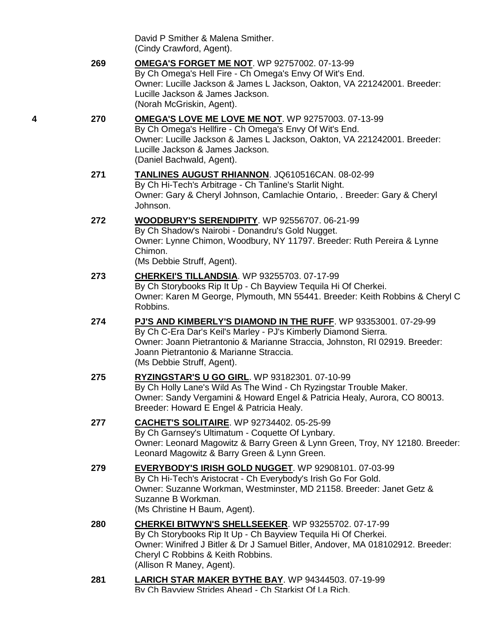David P Smither & Malena Smither. (Cindy Crawford, Agent).

**269 [OMEGA'S FORGET ME NOT](http://www.infodog.com/my/drlookup2.htm?makc=WP%2092757002&mdog=Omega%27s+Forget+Me+Not&wins=all)**. WP 92757002. 07-13-99 By Ch Omega's Hell Fire - Ch Omega's Envy Of Wit's End. Owner: Lucille Jackson & James L Jackson, Oakton, VA 221242001. Breeder: Lucille Jackson & James Jackson. (Norah McGriskin, Agent).

## **4 270 [OMEGA'S LOVE ME LOVE ME NOT](http://www.infodog.com/my/drlookup2.htm?makc=WP%2092757003&mdog=Omega%27s+Love+Me+Love+Me+Not&wins=all)**. WP 92757003. 07-13-99 By Ch Omega's Hellfire - Ch Omega's Envy Of Wit's End. Owner: Lucille Jackson & James L Jackson, Oakton, VA 221242001. Breeder: Lucille Jackson & James Jackson. (Daniel Bachwald, Agent).

- **271 [TANLINES AUGUST RHIANNON](http://www.infodog.com/my/drlookup2.htm?makc=JQ610516CAN&mdog=Tanlines+August+Rhiannon&wins=all)**. JQ610516CAN. 08-02-99 By Ch Hi-Tech's Arbitrage - Ch Tanline's Starlit Night. Owner: Gary & Cheryl Johnson, Camlachie Ontario, . Breeder: Gary & Cheryl Johnson.
- **272 [WOODBURY'S SERENDIPITY](http://www.infodog.com/my/drlookup2.htm?makc=WP%2092556707&mdog=Woodbury%27s+Serendipity&wins=all)**. WP 92556707. 06-21-99 By Ch Shadow's Nairobi - Donandru's Gold Nugget. Owner: Lynne Chimon, Woodbury, NY 11797. Breeder: Ruth Pereira & Lynne Chimon. (Ms Debbie Struff, Agent).
- **273 [CHERKEI'S TILLANDSIA](http://www.infodog.com/my/drlookup2.htm?makc=WP%2093255703&mdog=Cherkei%27s+Tillandsia&wins=all)**. WP 93255703. 07-17-99 By Ch Storybooks Rip It Up - Ch Bayview Tequila Hi Of Cherkei. Owner: Karen M George, Plymouth, MN 55441. Breeder: Keith Robbins & Cheryl C Robbins.
- **274 [PJ'S AND KIMBERLY'S DIAMOND IN THE RUFF](http://www.infodog.com/my/drlookup2.htm?makc=WP%2093353001&mdog=PJ%27s+And+Kimberly%27s+Diamond+In+The+Ruff&wins=all)**. WP 93353001. 07-29-99 By Ch C-Era Dar's Keil's Marley - PJ's Kimberly Diamond Sierra. Owner: Joann Pietrantonio & Marianne Straccia, Johnston, RI 02919. Breeder: Joann Pietrantonio & Marianne Straccia. (Ms Debbie Struff, Agent).
- **275 [RYZINGSTAR'S U GO GIRL](http://www.infodog.com/my/drlookup2.htm?makc=WP%2093182301&mdog=Ryzingstar%27s+U+Go+Girl&wins=all)**. WP 93182301. 07-10-99 By Ch Holly Lane's Wild As The Wind - Ch Ryzingstar Trouble Maker. Owner: Sandy Vergamini & Howard Engel & Patricia Healy, Aurora, CO 80013. Breeder: Howard E Engel & Patricia Healy.
- **277 [CACHET'S SOLITAIRE](http://www.infodog.com/my/drlookup2.htm?makc=WP%2092734402&mdog=Cachet%27s+Solitaire&wins=all)**. WP 92734402. 05-25-99 By Ch Garnsey's Ultimatum - Coquette Of Lynbary. Owner: Leonard Magowitz & Barry Green & Lynn Green, Troy, NY 12180. Breeder: Leonard Magowitz & Barry Green & Lynn Green.
- **279 [EVERYBODY'S IRISH GOLD NUGGET](http://www.infodog.com/my/drlookup2.htm?makc=WP%2092908101&mdog=Everybody%27s+Irish+Gold+Nugget&wins=all)**. WP 92908101. 07-03-99 By Ch Hi-Tech's Aristocrat - Ch Everybody's Irish Go For Gold. Owner: Suzanne Workman, Westminster, MD 21158. Breeder: Janet Getz & Suzanne B Workman. (Ms Christine H Baum, Agent).
- **280 [CHERKEI BITWYN'S SHELLSEEKER](http://www.infodog.com/my/drlookup2.htm?makc=WP%2093255702&mdog=Cherkei+Bitwyn%27s+Shellseeker&wins=all)**. WP 93255702. 07-17-99 By Ch Storybooks Rip It Up - Ch Bayview Tequila Hi Of Cherkei. Owner: Winifred J Bitler & Dr J Samuel Bitler, Andover, MA 018102912. Breeder: Cheryl C Robbins & Keith Robbins. (Allison R Maney, Agent).
- **281 [LARICH STAR MAKER BYTHE BAY](http://www.infodog.com/my/drlookup2.htm?makc=WP%2094344503&mdog=LaRich+Star+Maker+Bythe+Bay&wins=all)**. WP 94344503. 07-19-99 By Ch Bayview Strides Ahead - Ch Starkist Of La Rich.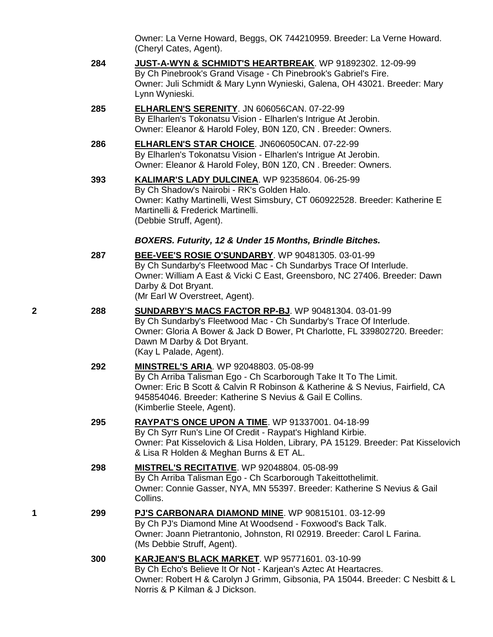Owner: La Verne Howard, Beggs, OK 744210959. Breeder: La Verne Howard. (Cheryl Cates, Agent).

- **284 [JUST-A-WYN & SCHMIDT'S HEARTBREAK](http://www.infodog.com/my/drlookup2.htm?makc=WP%2091892302&mdog=Just-A-Wyn+&+Schmidt%27s+Heartbreak&wins=all)**. WP 91892302. 12-09-99 By Ch Pinebrook's Grand Visage - Ch Pinebrook's Gabriel's Fire. Owner: Juli Schmidt & Mary Lynn Wynieski, Galena, OH 43021. Breeder: Mary Lynn Wynieski.
- **285 [ELHARLEN'S SERENITY](http://www.infodog.com/my/drlookup2.htm?makc=JN%20606056CAN&mdog=Elharlen%27s+Serenity&wins=all)**. JN 606056CAN. 07-22-99 By Elharlen's Tokonatsu Vision - Elharlen's Intrigue At Jerobin. Owner: Eleanor & Harold Foley, B0N 1Z0, CN . Breeder: Owners.
- **286 [ELHARLEN'S STAR CHOICE](http://www.infodog.com/my/drlookup2.htm?makc=JN606050CAN&mdog=Elharlen%27s+Star+Choice&wins=all)**. JN606050CAN. 07-22-99 By Elharlen's Tokonatsu Vision - Elharlen's Intrigue At Jerobin. Owner: Eleanor & Harold Foley, B0N 1Z0, CN . Breeder: Owners.
- **393 [KALIMAR'S LADY DULCINEA](http://www.infodog.com/my/drlookup2.htm?makc=WP%2092358604&mdog=Kalimar%27s+Lady+Dulcinea&wins=all)**. WP 92358604. 06-25-99 By Ch Shadow's Nairobi - RK's Golden Halo. Owner: Kathy Martinelli, West Simsbury, CT 060922528. Breeder: Katherine E Martinelli & Frederick Martinelli. (Debbie Struff, Agent).

### *BOXERS. Futurity, 12 & Under 15 Months, Brindle Bitches.*

- **287 [BEE-VEE'S ROSIE O'SUNDARBY](http://www.infodog.com/my/drlookup2.htm?makc=WP%2090481305&mdog=Bee-Vee%27s+Rosie+O%27Sundarby&wins=all)**. WP 90481305. 03-01-99 By Ch Sundarby's Fleetwood Mac - Ch Sundarbys Trace Of Interlude. Owner: William A East & Vicki C East, Greensboro, NC 27406. Breeder: Dawn Darby & Dot Bryant. (Mr Earl W Overstreet, Agent).
- **2 288 [SUNDARBY'S MACS FACTOR](http://www.infodog.com/my/drlookup2.htm?makc=WP%2090481304&mdog=Sundarby%27s+Macs+Factor+RP-BJ&wins=all) RP-BJ**. WP 90481304. 03-01-99 By Ch Sundarby's Fleetwood Mac - Ch Sundarby's Trace Of Interlude. Owner: Gloria A Bower & Jack D Bower, Pt Charlotte, FL 339802720. Breeder: Dawn M Darby & Dot Bryant. (Kay L Palade, Agent).
	- **292 [MINSTREL'S ARIA](http://www.infodog.com/my/drlookup2.htm?makc=WP%2092048803&mdog=Minstrel%27s+Aria&wins=all)**. WP 92048803. 05-08-99 By Ch Arriba Talisman Ego - Ch Scarborough Take It To The Limit. Owner: Eric B Scott & Calvin R Robinson & Katherine & S Nevius, Fairfield, CA 945854046. Breeder: Katherine S Nevius & Gail E Collins. (Kimberlie Steele, Agent).
	- **295 [RAYPAT'S ONCE UPON A TIME](http://www.infodog.com/my/drlookup2.htm?makc=WP%2091337001&mdog=Raypat%27s+Once+Upon+A+Time&wins=all)**. WP 91337001. 04-18-99 By Ch Syrr Run's Line Of Credit - Raypat's Highland Kirbie. Owner: Pat Kisselovich & Lisa Holden, Library, PA 15129. Breeder: Pat Kisselovich & Lisa R Holden & Meghan Burns & ET AL.
	- **298 [MISTREL'S RECITATIVE](http://www.infodog.com/my/drlookup2.htm?makc=WP%2092048804&mdog=Mistrel%27s+Recitative&wins=all)**. WP 92048804. 05-08-99 By Ch Arriba Talisman Ego - Ch Scarborough Takeittothelimit. Owner: Connie Gasser, NYA, MN 55397. Breeder: Katherine S Nevius & Gail Collins.
- **1 299 [PJ'S CARBONARA DIAMOND MINE](http://www.infodog.com/my/drlookup2.htm?makc=WP%2090815101&mdog=PJ%27s+Carbonara+Diamond+Mine&wins=all)**. WP 90815101. 03-12-99 By Ch PJ's Diamond Mine At Woodsend - Foxwood's Back Talk. Owner: Joann Pietrantonio, Johnston, RI 02919. Breeder: Carol L Farina. (Ms Debbie Struff, Agent).
	- **300 [KARJEAN'S BLACK MARKET](http://www.infodog.com/my/drlookup2.htm?makc=WP%2095771601&mdog=Karjean%27s+Black+Market&wins=all)**. WP 95771601. 03-10-99 By Ch Echo's Believe It Or Not - Karjean's Aztec At Heartacres. Owner: Robert H & Carolyn J Grimm, Gibsonia, PA 15044. Breeder: C Nesbitt & L Norris & P Kilman & J Dickson.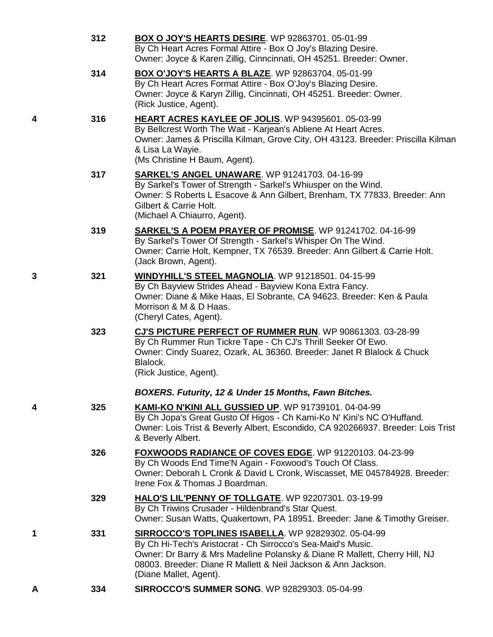|   | 312 | <b>BOX O JOY'S HEARTS DESIRE.</b> WP 92863701. 05-01-99<br>By Ch Heart Acres Formal Attire - Box O Joy's Blazing Desire.<br>Owner: Joyce & Karen Zillig, Cinncinnati, OH 45251. Breeder: Owner.                                                                                              |
|---|-----|----------------------------------------------------------------------------------------------------------------------------------------------------------------------------------------------------------------------------------------------------------------------------------------------|
|   | 314 | <b>BOX O'JOY'S HEARTS A BLAZE. WP 92863704. 05-01-99</b><br>By Ch Heart Acres Format Attire - Box O'Joy's Blazing Desire.<br>Owner: Joyce & Karyn Zillig, Cincinnati, OH 45251. Breeder: Owner.<br>(Rick Justice, Agent).                                                                    |
| 4 | 316 | HEART ACRES KAYLEE OF JOLIS. WP 94395601. 05-03-99<br>By Bellcrest Worth The Wait - Karjean's Abliene At Heart Acres.<br>Owner: James & Priscilla Kilman, Grove City, OH 43123. Breeder: Priscilla Kilman<br>& Lisa La Wayie.<br>(Ms Christine H Baum, Agent).                               |
|   | 317 | <b>SARKEL'S ANGEL UNAWARE.</b> WP 91241703. 04-16-99<br>By Sarkel's Tower of Strength - Sarkel's Whiusper on the Wind.<br>Owner: S Roberts L Esacove & Ann Gilbert, Brenham, TX 77833. Breeder: Ann<br>Gilbert & Carrie Holt.<br>(Michael A Chiaurro, Agent).                                |
|   | 319 | <b>SARKEL'S A POEM PRAYER OF PROMISE.</b> WP 91241702. 04-16-99<br>By Sarkel's Tower Of Strength - Sarkel's Whisper On The Wind.<br>Owner: Carrie Holt, Kempner, TX 76539. Breeder: Ann Gilbert & Carrie Holt.<br>(Jack Brown, Agent).                                                       |
| 3 | 321 | <b>WINDYHILL'S STEEL MAGNOLIA.</b> WP 91218501. 04-15-99<br>By Ch Bayview Strides Ahead - Bayview Kona Extra Fancy.<br>Owner: Diane & Mike Haas, El Sobrante, CA 94623. Breeder: Ken & Paula<br>Morrison & M & D Haas.<br>(Cheryl Cates, Agent).                                             |
|   | 323 | CJ'S PICTURE PERFECT OF RUMMER RUN. WP 90861303. 03-28-99<br>By Ch Rummer Run Tickre Tape - Ch CJ's Thrill Seeker Of Ewo.<br>Owner: Cindy Suarez, Ozark, AL 36360. Breeder: Janet R Blalock & Chuck<br>Blalock.<br>(Rick Justice, Agent).                                                    |
|   |     | BOXERS. Futurity, 12 & Under 15 Months, Fawn Bitches.                                                                                                                                                                                                                                        |
| 4 | 325 | KAMI-KO N'KINI ALL GUSSIED UP. WP 91739101. 04-04-99<br>By Ch Jopa's Great Gusto Of Higos - Ch Kami-Ko N' Kini's NC O'Huffand.<br>Owner: Lois Trist & Beverly Albert, Escondido, CA 920266937. Breeder: Lois Trist<br>& Beverly Albert.                                                      |
|   | 326 | FOXWOODS RADIANCE OF COVES EDGE. WP 91220103. 04-23-99<br>By Ch Woods End Time'N Again - Foxwood's Touch Of Class.<br>Owner: Deborah L Cronk & David L Cronk, Wiscasset, ME 045784928. Breeder:<br>Irene Fox & Thomas J Boardman.                                                            |
|   | 329 | HALO'S LIL'PENNY OF TOLLGATE. WP 92207301. 03-19-99<br>By Ch Triwins Crusader - Hildenbrand's Star Quest.<br>Owner: Susan Watts, Quakertown, PA 18951. Breeder: Jane & Timothy Greiser.                                                                                                      |
| 1 | 331 | SIRROCCO'S TOPLINES ISABELLA. WP 92829302. 05-04-99<br>By Ch Hi-Tech's Aristocrat - Ch Sirrocco's Sea-Maid's Music.<br>Owner: Dr Barry & Mrs Madeline Polansky & Diane R Mallett, Cherry Hill, NJ<br>08003. Breeder: Diane R Mallett & Neil Jackson & Ann Jackson.<br>(Diane Mallet, Agent). |
| A | 334 | SIRROCCO'S SUMMER SONG. WP 92829303. 05-04-99                                                                                                                                                                                                                                                |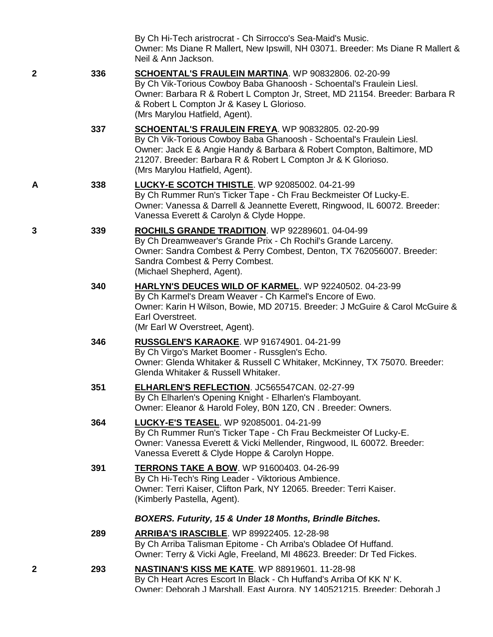|   |     | By Ch Hi-Tech aristrocrat - Ch Sirrocco's Sea-Maid's Music.<br>Owner: Ms Diane R Mallert, New Ipswill, NH 03071. Breeder: Ms Diane R Mallert &<br>Neil & Ann Jackson.                                                                                                                                 |
|---|-----|-------------------------------------------------------------------------------------------------------------------------------------------------------------------------------------------------------------------------------------------------------------------------------------------------------|
| 2 | 336 | SCHOENTAL'S FRAULEIN MARTINA. WP 90832806. 02-20-99<br>By Ch Vik-Torious Cowboy Baba Ghanoosh - Schoental's Fraulein Liesl.<br>Owner: Barbara R & Robert L Compton Jr, Street, MD 21154. Breeder: Barbara R<br>& Robert L Compton Jr & Kasey L Glorioso.<br>(Mrs Marylou Hatfield, Agent).            |
|   | 337 | SCHOENTAL'S FRAULEIN FREYA. WP 90832805. 02-20-99<br>By Ch Vik-Torious Cowboy Baba Ghanoosh - Schoental's Fraulein Liesl.<br>Owner: Jack E & Angie Handy & Barbara & Robert Compton, Baltimore, MD<br>21207. Breeder: Barbara R & Robert L Compton Jr & K Glorioso.<br>(Mrs Marylou Hatfield, Agent). |
| Α | 338 | LUCKY-E SCOTCH THISTLE. WP 92085002. 04-21-99<br>By Ch Rummer Run's Ticker Tape - Ch Frau Beckmeister Of Lucky-E.<br>Owner: Vanessa & Darrell & Jeannette Everett, Ringwood, IL 60072. Breeder:<br>Vanessa Everett & Carolyn & Clyde Hoppe.                                                           |
| 3 | 339 | ROCHILS GRANDE TRADITION. WP 92289601. 04-04-99<br>By Ch Dreamweaver's Grande Prix - Ch Rochil's Grande Larceny.<br>Owner: Sandra Combest & Perry Combest, Denton, TX 762056007. Breeder:<br>Sandra Combest & Perry Combest.<br>(Michael Shepherd, Agent).                                            |
|   | 340 | <b>HARLYN'S DEUCES WILD OF KARMEL. WP 92240502. 04-23-99</b><br>By Ch Karmel's Dream Weaver - Ch Karmel's Encore of Ewo.<br>Owner: Karin H Wilson, Bowie, MD 20715. Breeder: J McGuire & Carol McGuire &<br>Earl Overstreet.<br>(Mr Earl W Overstreet, Agent).                                        |
|   | 346 | RUSSGLEN'S KARAOKE. WP 91674901. 04-21-99<br>By Ch Virgo's Market Boomer - Russglen's Echo.<br>Owner: Glenda Whitaker & Russell C Whitaker, McKinney, TX 75070. Breeder:<br>Glenda Whitaker & Russell Whitaker.                                                                                       |
|   | 351 | <b>ELHARLEN'S REFLECTION. JC565547CAN. 02-27-99</b><br>By Ch Elharlen's Opening Knight - Elharlen's Flamboyant.<br>Owner: Eleanor & Harold Foley, B0N 1Z0, CN. Breeder: Owners.                                                                                                                       |
|   | 364 | <b>LUCKY-E'S TEASEL. WP 92085001. 04-21-99</b><br>By Ch Rummer Run's Ticker Tape - Ch Frau Beckmeister Of Lucky-E.<br>Owner: Vanessa Everett & Vicki Mellender, Ringwood, IL 60072. Breeder:<br>Vanessa Everett & Clyde Hoppe & Carolyn Hoppe.                                                        |
|   | 391 | <b>TERRONS TAKE A BOW. WP 91600403. 04-26-99</b><br>By Ch Hi-Tech's Ring Leader - Viktorious Ambience.<br>Owner: Terri Kaiser, Clifton Park, NY 12065. Breeder: Terri Kaiser.<br>(Kimberly Pastella, Agent).                                                                                          |
|   |     | BOXERS. Futurity, 15 & Under 18 Months, Brindle Bitches.                                                                                                                                                                                                                                              |
|   | 289 | <b>ARRIBA'S IRASCIBLE.</b> WP 89922405. 12-28-98<br>By Ch Arriba Talisman Epitome - Ch Arriba's Obladee Of Huffand.<br>Owner: Terry & Vicki Agle, Freeland, MI 48623. Breeder: Dr Ted Fickes.                                                                                                         |
| 2 | 293 | NASTINAN'S KISS ME KATE. WP 88919601. 11-28-98<br>By Ch Heart Acres Escort In Black - Ch Huffand's Arriba Of KK N' K.<br>Owner: Deborah J Marshall. East Aurora. NY 140521215. Breeder: Deborah J                                                                                                     |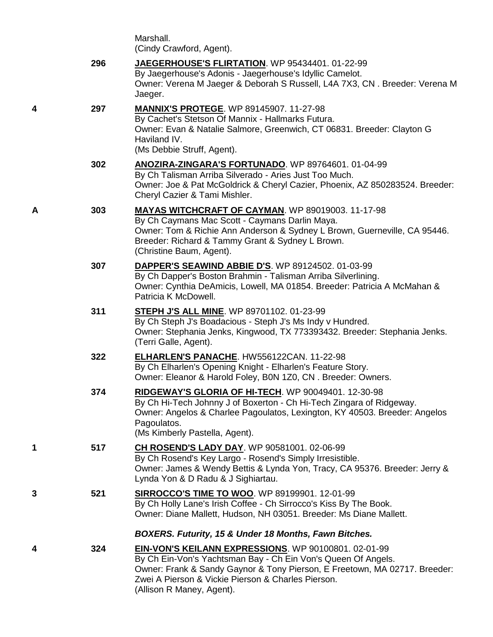| Marshall.                |
|--------------------------|
| (Cindy Crawford, Agent). |

|   | 296 | JAEGERHOUSE'S FLIRTATION. WP 95434401. 01-22-99<br>By Jaegerhouse's Adonis - Jaegerhouse's Idyllic Camelot.<br>Owner: Verena M Jaeger & Deborah S Russell, L4A 7X3, CN. Breeder: Verena M<br>Jaeger.                                                                                          |
|---|-----|-----------------------------------------------------------------------------------------------------------------------------------------------------------------------------------------------------------------------------------------------------------------------------------------------|
| 4 | 297 | <b>MANNIX'S PROTEGE.</b> WP 89145907. 11-27-98<br>By Cachet's Stetson Of Mannix - Hallmarks Futura.<br>Owner: Evan & Natalie Salmore, Greenwich, CT 06831. Breeder: Clayton G<br>Haviland IV.<br>(Ms Debbie Struff, Agent).                                                                   |
|   | 302 | ANOZIRA-ZINGARA'S FORTUNADO. WP 89764601. 01-04-99<br>By Ch Talisman Arriba Silverado - Aries Just Too Much.<br>Owner: Joe & Pat McGoldrick & Cheryl Cazier, Phoenix, AZ 850283524. Breeder:<br>Cheryl Cazier & Tami Mishler.                                                                 |
| Α | 303 | MAYAS WITCHCRAFT OF CAYMAN. WP 89019003. 11-17-98<br>By Ch Caymans Mac Scott - Caymans Darlin Maya.<br>Owner: Tom & Richie Ann Anderson & Sydney L Brown, Guerneville, CA 95446.<br>Breeder: Richard & Tammy Grant & Sydney L Brown.<br>(Christine Baum, Agent).                              |
|   | 307 | DAPPER'S SEAWIND ABBIE D'S. WP 89124502. 01-03-99<br>By Ch Dapper's Boston Brahmin - Talisman Arriba Silverlining.<br>Owner: Cynthia DeAmicis, Lowell, MA 01854. Breeder: Patricia A McMahan &<br>Patricia K McDowell.                                                                        |
|   | 311 | <b>STEPH J'S ALL MINE. WP 89701102. 01-23-99</b><br>By Ch Steph J's Boadacious - Steph J's Ms Indy v Hundred.<br>Owner: Stephania Jenks, Kingwood, TX 773393432. Breeder: Stephania Jenks.<br>(Terri Galle, Agent).                                                                           |
|   | 322 | ELHARLEN'S PANACHE. HW556122CAN. 11-22-98<br>By Ch Elharlen's Opening Knight - Elharlen's Feature Story.<br>Owner: Eleanor & Harold Foley, B0N 1Z0, CN. Breeder: Owners.                                                                                                                      |
|   | 374 | RIDGEWAY'S GLORIA OF HI-TECH. WP 90049401. 12-30-98<br>By Ch Hi-Tech Johnny J of Boxerton - Ch Hi-Tech Zingara of Ridgeway.<br>Owner: Angelos & Charlee Pagoulatos, Lexington, KY 40503. Breeder: Angelos<br>Pagoulatos.<br>(Ms Kimberly Pastella, Agent).                                    |
| 1 | 517 | CH ROSEND'S LADY DAY. WP 90581001. 02-06-99<br>By Ch Rosend's Key Largo - Rosend's Simply Irresistible.<br>Owner: James & Wendy Bettis & Lynda Yon, Tracy, CA 95376. Breeder: Jerry &<br>Lynda Yon & D Radu & J Sighiartau.                                                                   |
| 3 | 521 | <b>SIRROCCO'S TIME TO WOO. WP 89199901. 12-01-99</b><br>By Ch Holly Lane's Irish Coffee - Ch Sirrocco's Kiss By The Book.<br>Owner: Diane Mallett, Hudson, NH 03051. Breeder: Ms Diane Mallett.                                                                                               |
|   |     | BOXERS. Futurity, 15 & Under 18 Months, Fawn Bitches.                                                                                                                                                                                                                                         |
| 4 | 324 | <b>EIN-VON'S KEILANN EXPRESSIONS.</b> WP 90100801. 02-01-99<br>By Ch Ein-Von's Yachtsman Bay - Ch Ein Von's Queen Of Angels.<br>Owner: Frank & Sandy Gaynor & Tony Pierson, E Freetown, MA 02717. Breeder:<br>Zwei A Pierson & Vickie Pierson & Charles Pierson.<br>(Allison R Maney, Agent). |